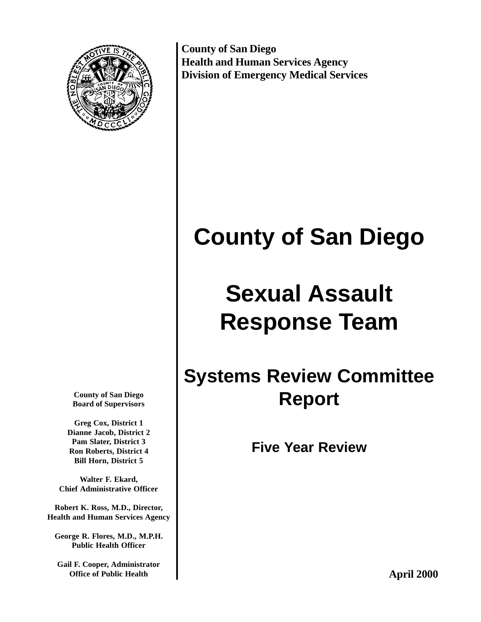

**County of San Diego Health and Human Services Agency Division of Emergency Medical Services**

# **County of San Diego**

# **Sexual Assault Response Team**

# **Systems Review Committee Report**

**Five Year Review**

**County of San Diego Board of Supervisors**

**Greg Cox, District 1 Dianne Jacob, District 2 Pam Slater, District 3 Ron Roberts, District 4 Bill Horn, District 5**

**Walter F. Ekard, Chief Administrative Officer**

**Robert K. Ross, M.D., Director, Health and Human Services Agency**

**George R. Flores, M.D., M.P.H. Public Health Officer**

**Gail F. Cooper, Administrator Office of Public Health**

**April 2000**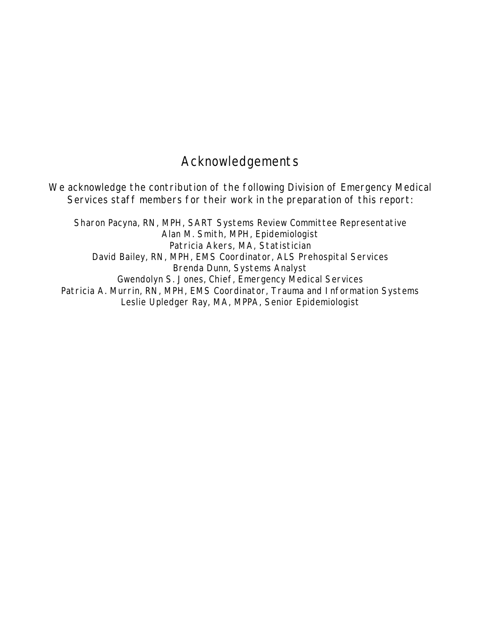# Acknowledgements

We acknowledge the contribution of the following Division of Emergency Medical Services staff members for their work in the preparation of this report:

Sharon Pacyna, RN, MPH, SART Systems Review Committee Representative Alan M. Smith, MPH, Epidemiologist Patricia Akers, MA, Statistician David Bailey, RN, MPH, EMS Coordinator, ALS Prehospital Services Brenda Dunn, Systems Analyst Gwendolyn S. Jones, Chief, Emergency Medical Services Patricia A. Murrin, RN, MPH, EMS Coordinator, Trauma and Information Systems Leslie Upledger Ray, MA, MPPA, Senior Epidemiologist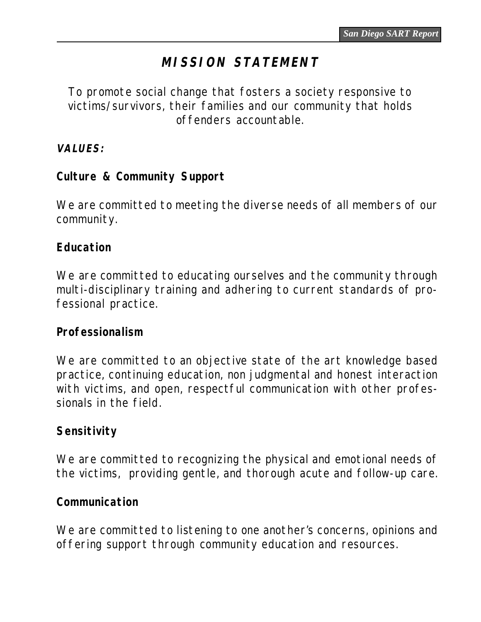# **MISSION STATEMENT**

To promote social change that fosters a society responsive to victims/survivors, their families and our community that holds offenders accountable.

**VALUES:**

# **Culture & Community Support**

We are committed to meeting the diverse needs of all members of our community.

## **Education**

We are committed to educating ourselves and the community through multi-disciplinary training and adhering to current standards of professional practice.

### **Professionalism**

We are committed to an objective state of the art knowledge based practice, continuing education, non judgmental and honest interaction with victims, and open, respectful communication with other professionals in the field.

# **Sensitivity**

We are committed to recognizing the physical and emotional needs of the victims, providing gentle, and thorough acute and follow-up care.

### **Communication**

We are committed to listening to one another's concerns, opinions and offering support through community education and resources.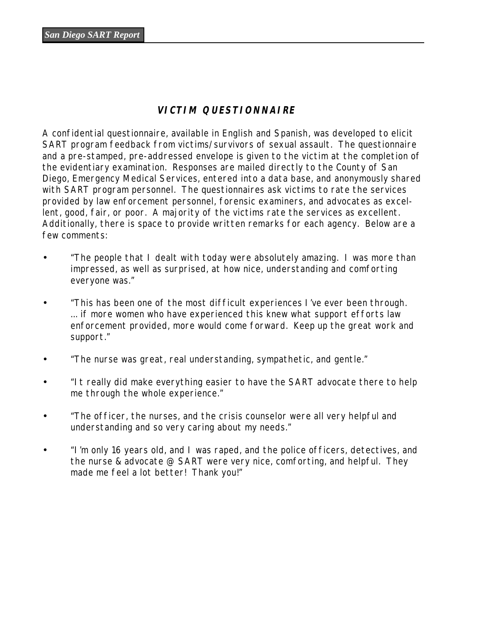#### **VICTIM QUESTIONNAIRE**

A confidential questionnaire, available in English and Spanish, was developed to elicit SART program feedback from victims/survivors of sexual assault. The questionnaire and a pre-stamped, pre-addressed envelope is given to the victim at the completion of the evidentiary examination. Responses are mailed directly to the County of San Diego, Emergency Medical Services, entered into a data base, and anonymously shared with SART program personnel. The questionnaires ask victims to rate the services provided by law enforcement personnel, forensic examiners, and advocates as excellent, good, fair, or poor. A majority of the victims rate the services as excellent. Additionally, there is space to provide written remarks for each agency. Below are a few comments:

- "The people that I dealt with today were absolutely amazing. I was more than impressed, as well as surprised, at how nice, understanding and comforting everyone was."
- "This has been one of the most difficult experiences I've ever been through. ... if more women who have experienced this knew what support efforts law enforcement provided, more would come forward. Keep up the great work and support."
- "The nurse was great, real understanding, sympathetic, and gentle."
- "It really did make everything easier to have the SART advocate there to help me through the whole experience."
- "The officer, the nurses, and the crisis counselor were all very helpful and understanding and so very caring about my needs."
- "I'm only 16 years old, and I was raped, and the police officers, detectives, and the nurse & advocate @ SART were very nice, comforting, and helpful. They made me feel a lot better! Thank you!"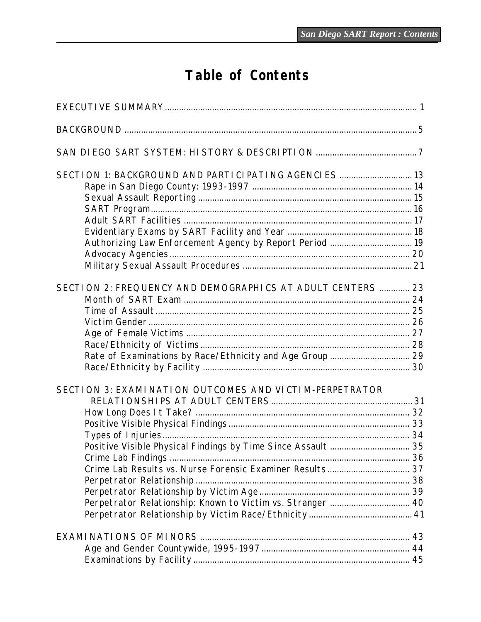# Table of Contents

| SECTION 1: BACKGROUND AND PARTICIPATING AGENCIES  13<br>Authorizing Law Enforcement Agency by Report Period  19                                                                      |  |
|--------------------------------------------------------------------------------------------------------------------------------------------------------------------------------------|--|
| SECTION 2: FREQUENCY AND DEMOGRAPHICS AT ADULT CENTERS  23<br>Rate of Examinations by Race/Ethnicity and Age Group  29                                                               |  |
| SECTION 3: EXAMINATION OUTCOMES AND VICTIM-PERPETRATOR<br>Positive Visible Physical Findings by Time Since Assault  35<br>Perpetrator Relationship: Known to Victim vs. Stranger  40 |  |
|                                                                                                                                                                                      |  |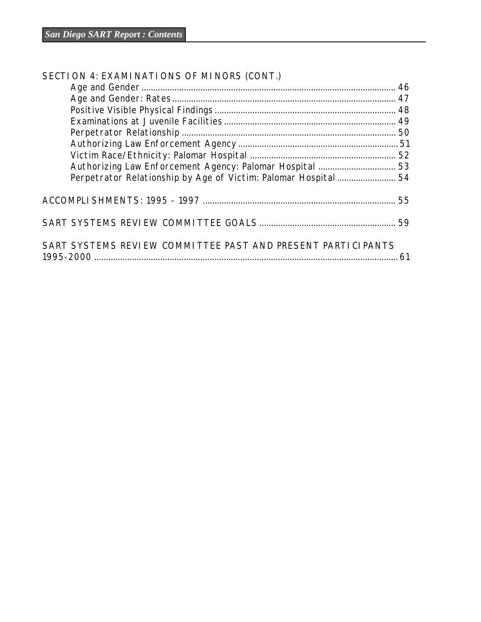| SECTION 4: EXAMINATIONS OF MINORS (CONT.)                   |  |
|-------------------------------------------------------------|--|
|                                                             |  |
|                                                             |  |
|                                                             |  |
|                                                             |  |
|                                                             |  |
|                                                             |  |
|                                                             |  |
| Authorizing Law Enforcement Agency: Palomar Hospital  53    |  |
|                                                             |  |
|                                                             |  |
|                                                             |  |
| SART SYSTEMS REVIEW COMMITTEE PAST AND PRESENT PARTICIPANTS |  |

1995-2000 ................................................................................................................................. 61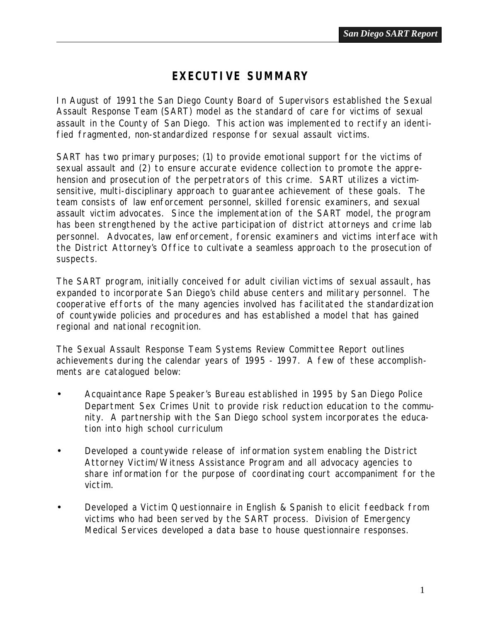# *EXECUTIVE SUMMARY*

<span id="page-6-0"></span>In August of 1991 the San Diego County Board of Supervisors established the Sexual Assault Response Team (SART) model as the standard of care for victims of sexual assault in the County of San Diego. This action was implemented to rectify an identified fragmented, non-standardized response for sexual assault victims.

SART has two primary purposes; (1) to provide emotional support for the victims of sexual assault and (2) to ensure accurate evidence collection to promote the apprehension and prosecution of the perpetrators of this crime. SART utilizes a victimsensitive, multi-disciplinary approach to guarantee achievement of these goals. The team consists of law enforcement personnel, skilled forensic examiners, and sexual assault victim advocates. Since the implementation of the SART model, the program has been strengthened by the active participation of district attorneys and crime lab personnel. Advocates, law enforcement, forensic examiners and victims interface with the District Attorney's Office to cultivate a seamless approach to the prosecution of suspects.

The SART program, initially conceived for adult civilian victims of sexual assault, has expanded to incorporate San Diego's child abuse centers and military personnel. The cooperative efforts of the many agencies involved has facilitated the standardization of countywide policies and procedures and has established a model that has gained regional and national recognition.

The Sexual Assault Response Team Systems Review Committee Report outlines achievements during the calendar years of 1995 - 1997. A few of these accomplishments are catalogued below:

- Acquaintance Rape Speaker's Bureau established in 1995 by San Diego Police Department Sex Crimes Unit to provide risk reduction education to the community. A partnership with the San Diego school system incorporates the education into high school curriculum
- Developed a countywide release of information system enabling the District Attorney Victim/Witness Assistance Program and all advocacy agencies to share information for the purpose of coordinating court accompaniment for the victim.
- Developed a Victim Questionnaire in English & Spanish to elicit feedback from victims who had been served by the SART process. Division of Emergency Medical Services developed a data base to house questionnaire responses.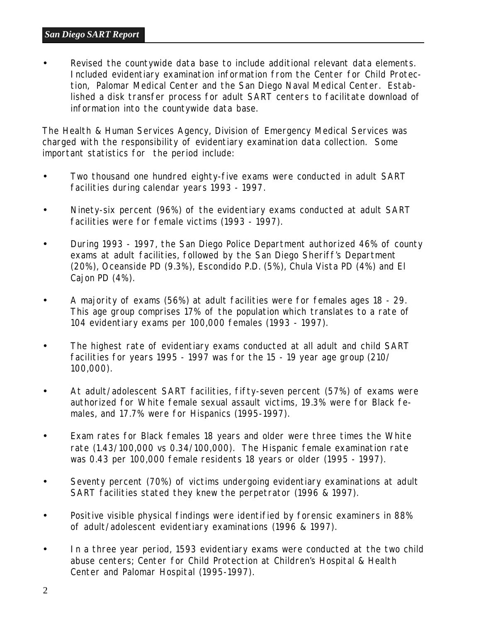• Revised the countywide data base to include additional relevant data elements. Included evidentiary examination information from the Center for Child Protection, Palomar Medical Center and the San Diego Naval Medical Center. Established a disk transfer process for adult SART centers to facilitate download of information into the countywide data base.

The Health & Human Services Agency, Division of Emergency Medical Services was charged with the responsibility of evidentiary examination data collection. Some important statistics for the period include:

- Two thousand one hundred eighty-five exams were conducted in adult SART facilities during calendar years 1993 - 1997.
- Ninety-six percent (96%) of the evidentiary exams conducted at adult SART facilities were for female victims (1993 - 1997).
- During 1993 1997, the San Diego Police Department authorized 46% of county exams at adult facilities, followed by the San Diego Sheriff's Department (20%), Oceanside PD (9.3%), Escondido P.D. (5%), Chula Vista PD (4%) and El Cajon PD (4%).
- A majority of exams (56%) at adult facilities were for females ages 18 29. This age group comprises 17% of the population which translates to a rate of 104 evidentiary exams per 100,000 females (1993 - 1997).
- The highest rate of evidentiary exams conducted at all adult and child SART facilities for years 1995 - 1997 was for the 15 - 19 year age group (210/ 100,000).
- At adult/adolescent SART facilities, fifty-seven percent (57%) of exams were authorized for White female sexual assault victims, 19.3% were for Black females, and 17.7% were for Hispanics (1995-1997).
- Exam rates for Black females 18 years and older were three times the White rate (1.43/100,000 vs 0.34/100,000). The Hispanic female examination rate was 0.43 per 100,000 female residents 18 years or older (1995 - 1997).
- Seventy percent (70%) of victims undergoing evidentiary examinations at adult SART facilities stated they knew the perpetrator (1996 & 1997).
- Positive visible physical findings were identified by forensic examiners in 88% of adult/adolescent evidentiary examinations (1996 & 1997).
- In a three year period, 1593 evidentiary exams were conducted at the two child abuse centers; Center for Child Protection at Children's Hospital & Health Center and Palomar Hospital (1995-1997).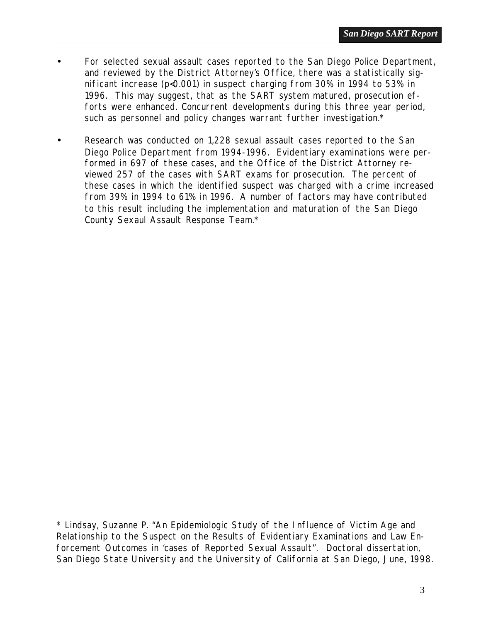- For selected sexual assault cases reported to the San Diego Police Department, and reviewed by the District Attorney's Office, there was a statistically significant increase (p<0.001) in suspect charging from 30% in 1994 to 53% in 1996. This may suggest, that as the SART system matured, prosecution efforts were enhanced. Concurrent developments during this three year period, such as personnel and policy changes warrant further investigation.\*
- Research was conducted on 1,228 sexual assault cases reported to the San Diego Police Department from 1994-1996. Evidentiary examinations were performed in 697 of these cases, and the Office of the District Attorney reviewed 257 of the cases with SART exams for prosecution. The percent of these cases in which the identified suspect was charged with a crime increased from 39% in 1994 to 61% in 1996. A number of factors may have contributed to this result including the implementation and maturation of the San Diego County Sexaul Assault Response Team.\*

<sup>\*</sup> Lindsay, Suzanne P. "An Epidemiologic Study of the Influence of Victim Age and Relationship to the Suspect on the Results of Evidentiary Examinations and Law Enforcement Outcomes in 'cases of Reported Sexual Assault". Doctoral dissertation, San Diego State University and the University of California at San Diego, June, 1998.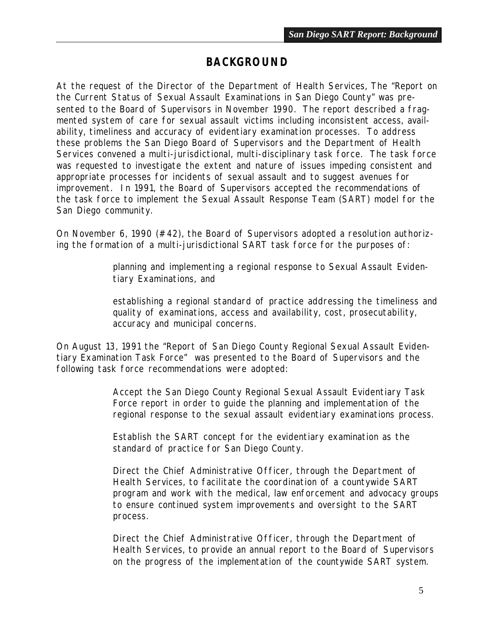## *BACKGROUND*

<span id="page-10-0"></span>At the request of the Director of the Department of Health Services, The "Report on the Current Status of Sexual Assault Examinations in San Diego County" was presented to the Board of Supervisors in November 1990. The report described a fragmented system of care for sexual assault victims including inconsistent access, availability, timeliness and accuracy of evidentiary examination processes. To address these problems the San Diego Board of Supervisors and the Department of Health Services convened a multi-jurisdictional, multi-disciplinary task force. The task force was requested to investigate the extent and nature of issues impeding consistent and appropriate processes for incidents of sexual assault and to suggest avenues for improvement. In 1991, the Board of Supervisors accepted the recommendations of the task force to implement the Sexual Assault Response Team (SART) model for the San Diego community.

On November 6, 1990 (#42), the Board of Supervisors adopted a resolution authorizing the formation of a multi-jurisdictional SART task force for the purposes of:

> planning and implementing a regional response to Sexual Assault Evidentiary Examinations, and

establishing a regional standard of practice addressing the timeliness and quality of examinations, access and availability, cost, prosecutability, accuracy and municipal concerns.

On August 13, 1991 the "Report of San Diego County Regional Sexual Assault Evidentiary Examination Task Force" was presented to the Board of Supervisors and the following task force recommendations were adopted:

> Accept the San Diego County Regional Sexual Assault Evidentiary Task Force report in order to guide the planning and implementation of the regional response to the sexual assault evidentiary examinations process.

Establish the SART concept for the evidentiary examination as the standard of practice for San Diego County.

Direct the Chief Administrative Officer, through the Department of Health Services, to facilitate the coordination of a countywide SART program and work with the medical, law enforcement and advocacy groups to ensure continued system improvements and oversight to the SART process.

Direct the Chief Administrative Officer, through the Department of Health Services, to provide an annual report to the Board of Supervisors on the progress of the implementation of the countywide SART system.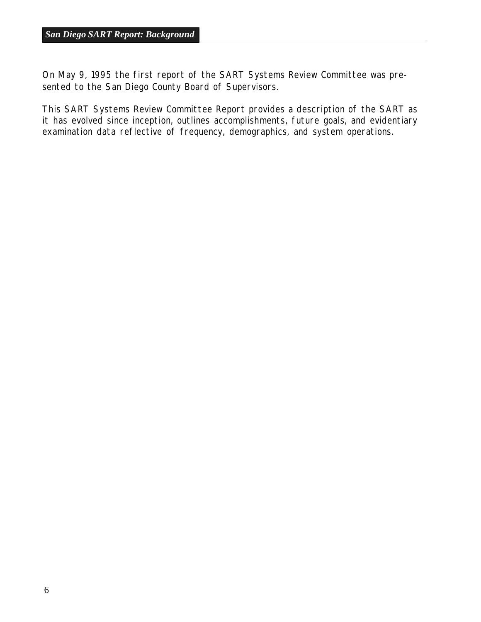On May 9, 1995 the first report of the SART Systems Review Committee was presented to the San Diego County Board of Supervisors.

This SART Systems Review Committee Report provides a description of the SART as it has evolved since inception, outlines accomplishments, future goals, and evidentiary examination data reflective of frequency, demographics, and system operations.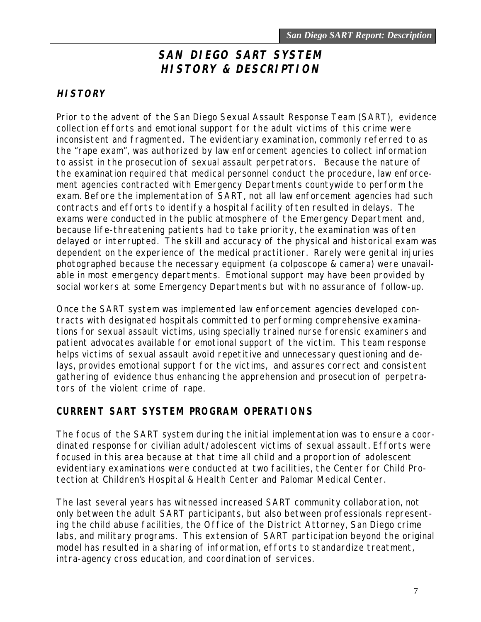# **SAN DIEGO SART SYSTEM HISTORY & DESCRIPTION**

#### <span id="page-12-0"></span>**HISTORY**

Prior to the advent of the San Diego Sexual Assault Response Team (SART), evidence collection efforts and emotional support for the adult victims of this crime were inconsistent and fragmented. The evidentiary examination, commonly referred to as the "rape exam", was authorized by law enforcement agencies to collect information to assist in the prosecution of sexual assault perpetrators. Because the nature of the examination required that medical personnel conduct the procedure, law enforcement agencies contracted with Emergency Departments countywide to perform the exam. Before the implementation of SART, not all law enforcement agencies had such contracts and efforts to identify a hospital facility often resulted in delays. The exams were conducted in the public atmosphere of the Emergency Department and, because life-threatening patients had to take priority, the examination was often delayed or interrupted. The skill and accuracy of the physical and historical exam was dependent on the experience of the medical practitioner. Rarely were genital injuries photographed because the necessary equipment (a colposcope & camera) were unavailable in most emergency departments. Emotional support may have been provided by social workers at some Emergency Departments but with no assurance of follow-up.

Once the SART system was implemented law enforcement agencies developed contracts with designated hospitals committed to performing comprehensive examinations for sexual assault victims, using specially trained nurse forensic examiners and patient advocates available for emotional support of the victim. This team response helps victims of sexual assault avoid repetitive and unnecessary questioning and delays, provides emotional support for the victims, and assures correct and consistent gathering of evidence thus enhancing the apprehension and prosecution of perpetrators of the violent crime of rape.

#### **CURRENT SART SYSTEM PROGRAM OPERATIONS**

The focus of the SART system during the initial implementation was to ensure a coordinated response for civilian adult/adolescent victims of sexual assault. Efforts were focused in this area because at that time all child and a proportion of adolescent evidentiary examinations were conducted at two facilities, the Center for Child Protection at Children's Hospital & Health Center and Palomar Medical Center.

The last several years has witnessed increased SART community collaboration, not only between the adult SART participants, but also between professionals representing the child abuse facilities, the Office of the District Attorney, San Diego crime labs, and military programs. This extension of SART participation beyond the original model has resulted in a sharing of information, efforts to standardize treatment, intra-agency cross education, and coordination of services.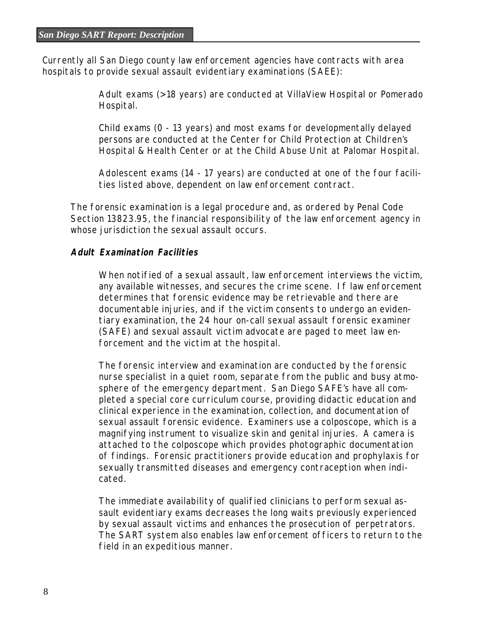Currently all San Diego county law enforcement agencies have contracts with area hospitals to provide sexual assault evidentiary examinations (SAEE):

> Adult exams (> 18 years) are conducted at VillaView Hospital or Pomerado Hospital.

Child exams (0 - 13 years) and most exams for developmentally delayed persons are conducted at the Center for Child Protection at Children's Hospital & Health Center or at the Child Abuse Unit at Palomar Hospital.

Adolescent exams (14 - 17 years) are conducted at one of the four facilities listed above, dependent on law enforcement contract.

The forensic examination is a legal procedure and, as ordered by Penal Code Section 13823.95, the financial responsibility of the law enforcement agency in whose jurisdiction the sexual assault occurs.

#### **Adult Examination Facilities**

When notified of a sexual assault, law enforcement interviews the victim, any available witnesses, and secures the crime scene. If law enforcement determines that forensic evidence may be retrievable and there are documentable injuries, and if the victim consents to undergo an evidentiary examination, the 24 hour on-call sexual assault forensic examiner (SAFE) and sexual assault victim advocate are paged to meet law enforcement and the victim at the hospital.

The forensic interview and examination are conducted by the forensic nurse specialist in a quiet room, separate from the public and busy atmosphere of the emergency department. San Diego SAFE's have all completed a special core curriculum course, providing didactic education and clinical experience in the examination, collection, and documentation of sexual assault forensic evidence. Examiners use a colposcope, which is a magnifying instrument to visualize skin and genital injuries. A camera is attached to the colposcope which provides photographic documentation of findings. Forensic practitioners provide education and prophylaxis for sexually transmitted diseases and emergency contraception when indicated.

The immediate availability of qualified clinicians to perform sexual assault evidentiary exams decreases the long waits previously experienced by sexual assault victims and enhances the prosecution of perpetrators. The SART system also enables law enforcement officers to return to the field in an expeditious manner.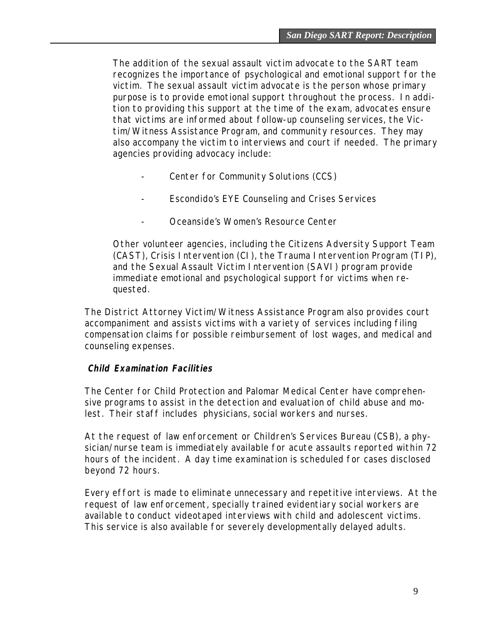The addition of the sexual assault victim advocate to the SART team recognizes the importance of psychological and emotional support for the victim. The sexual assault victim advocate is the person whose primary purpose is to provide emotional support throughout the process. In addition to providing this support at the time of the exam, advocates ensure that victims are informed about follow-up counseling services, the Victim/Witness Assistance Program, and community resources. They may also accompany the victim to interviews and court if needed. The primary agencies providing advocacy include:

- Center for Community Solutions (CCS)
- Escondido's EYE Counseling and Crises Services
- Oceanside's Women's Resource Center

Other volunteer agencies, including the Citizens Adversity Support Team (CAST), Crisis Intervention (CI), the Trauma Intervention Program (TIP), and the Sexual Assault Victim Intervention (SAVI) program provide immediate emotional and psychological support for victims when requested.

The District Attorney Victim/Witness Assistance Program also provides court accompaniment and assists victims with a variety of services including filing compensation claims for possible reimbursement of lost wages, and medical and counseling expenses.

#### **Child Examination Facilities**

The Center for Child Protection and Palomar Medical Center have comprehensive programs to assist in the detection and evaluation of child abuse and molest. Their staff includes physicians, social workers and nurses.

At the request of law enforcement or Children's Services Bureau (CSB), a physician/nurse team is immediately available for acute assaults reported within 72 hours of the incident. A day time examination is scheduled for cases disclosed beyond 72 hours.

Every effort is made to eliminate unnecessary and repetitive interviews. At the request of law enforcement, specially trained evidentiary social workers are available to conduct videotaped interviews with child and adolescent victims. This service is also available for severely developmentally delayed adults.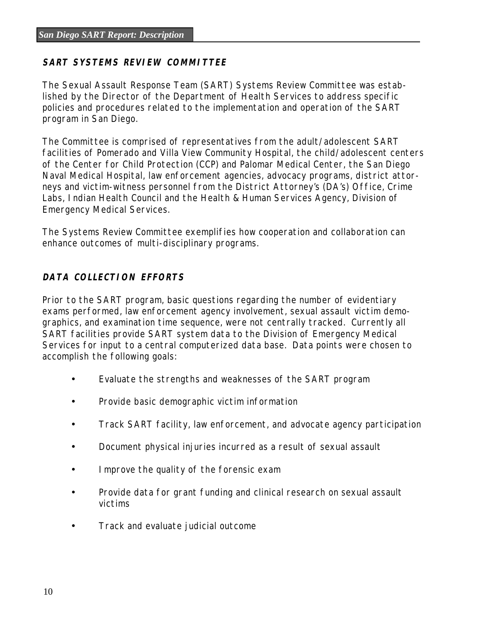#### **SART SYSTEMS REVIEW COMMITTEE**

The Sexual Assault Response Team (SART) Systems Review Committee was established by the Director of the Department of Health Services to address specific policies and procedures related to the implementation and operation of the SART program in San Diego.

The Committee is comprised of representatives from the adult/adolescent SART facilities of Pomerado and Villa View Community Hospital, the child/adolescent centers of the Center for Child Protection (CCP) and Palomar Medical Center, the San Diego Naval Medical Hospital, law enforcement agencies, advocacy programs, district attorneys and victim-witness personnel from the District Attorney's (DA's) Office, Crime Labs, Indian Health Council and the Health & Human Services Agency, Division of Emergency Medical Services.

The Systems Review Committee exemplifies how cooperation and collaboration can enhance outcomes of multi-disciplinary programs.

#### **DATA COLLECTION EFFORTS**

Prior to the SART program, basic questions regarding the number of evidentiary exams performed, law enforcement agency involvement, sexual assault victim demographics, and examination time sequence, were not centrally tracked. Currently all SART facilities provide SART system data to the Division of Emergency Medical Services for input to a central computerized data base. Data points were chosen to accomplish the following goals:

- Evaluate the strengths and weaknesses of the SART program
- Provide basic demographic victim information
- Track SART facility, law enforcement, and advocate agency participation
- Document physical injuries incurred as a result of sexual assault
- Improve the quality of the forensic exam
- Provide data for grant funding and clinical research on sexual assault victims
- Track and evaluate judicial outcome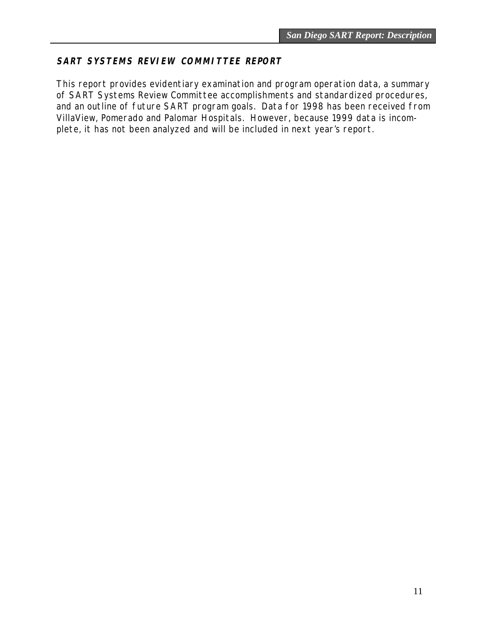#### **SART SYSTEMS REVIEW COMMITTEE REPORT**

This report provides evidentiary examination and program operation data, a summary of SART Systems Review Committee accomplishments and standardized procedures, and an outline of future SART program goals. Data for 1998 has been received from VillaView, Pomerado and Palomar Hospitals. However, because 1999 data is incomplete, it has not been analyzed and will be included in next year's report.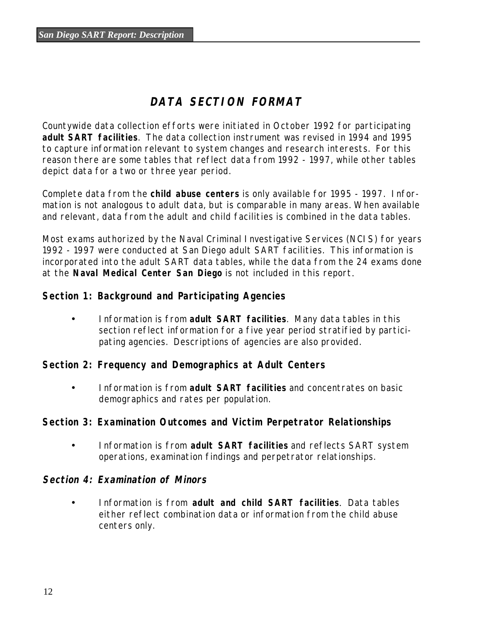# **DATA SECTION FORMAT**

Countywide data collection efforts were initiated in October 1992 for participating **adult SART facilities**. The data collection instrument was revised in 1994 and 1995 to capture information relevant to system changes and research interests. For this reason there are some tables that reflect data from 1992 - 1997, while other tables depict data for a two or three year period.

Complete data from the **child abuse centers** is only available for 1995 - 1997. Information is not analogous to adult data, but is comparable in many areas. When available and relevant, data from the adult and child facilities is combined in the data tables.

Most exams authorized by the Naval Criminal Investigative Services (NCIS) for years 1992 - 1997 were conducted at San Diego adult SART facilities. This information is incorporated into the adult SART data tables, while the data from the 24 exams done at the **Naval Medical Center San Diego** is not included in this report.

#### **Section 1: Background and Participating Agencies**

• Information is from **adult SART facilities**. Many data tables in this section reflect information for a five year period stratified by participating agencies. Descriptions of agencies are also provided.

#### **Section 2: Frequency and Demographics at Adult Centers**

• Information is from **adult SART facilities** and concentrates on basic demographics and rates per population.

#### **Section 3: Examination Outcomes and Victim Perpetrator Relationships**

• Information is from **adult SART facilities** and reflects SART system operations, examination findings and perpetrator relationships.

#### **Section 4: Examination of Minors**

• Information is from **adult and child SART facilities**. Data tables either reflect combination data or information from the child abuse centers only.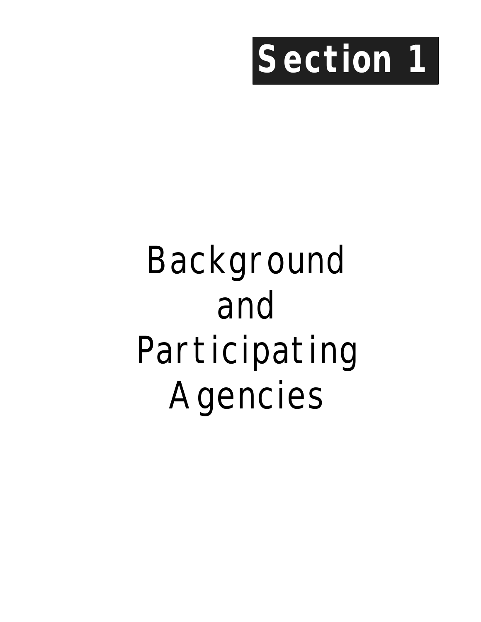<span id="page-18-0"></span>

# Background and Participating Agencies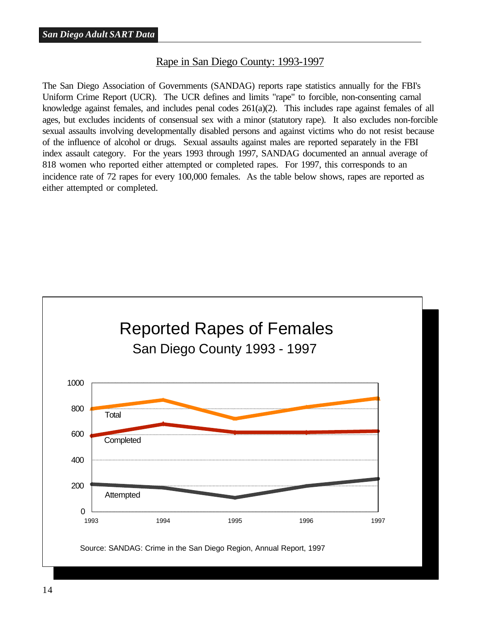#### Rape in San Diego County: 1993-1997

<span id="page-19-0"></span>The San Diego Association of Governments (SANDAG) reports rape statistics annually for the FBI's Uniform Crime Report (UCR). The UCR defines and limits "rape" to forcible, non-consenting carnal knowledge against females, and includes penal codes 261(a)(2). This includes rape against females of all ages, but excludes incidents of consensual sex with a minor (statutory rape). It also excludes non-forcible sexual assaults involving developmentally disabled persons and against victims who do not resist because of the influence of alcohol or drugs. Sexual assaults against males are reported separately in the FBI index assault category. For the years 1993 through 1997, SANDAG documented an annual average of 818 women who reported either attempted or completed rapes. For 1997, this corresponds to an incidence rate of 72 rapes for every 100,000 females. As the table below shows, rapes are reported as either attempted or completed.

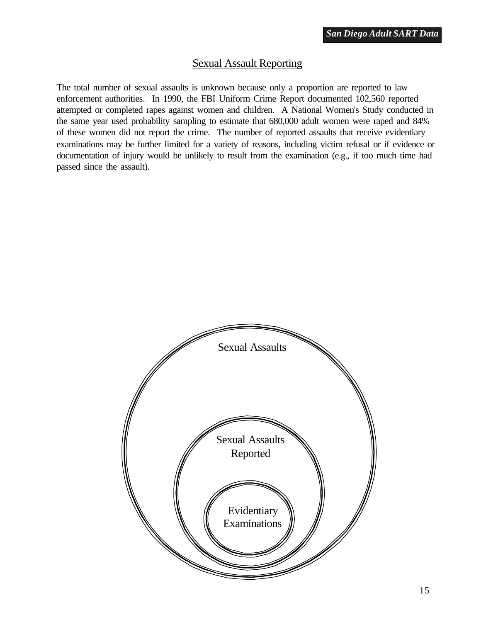#### Sexual Assault Reporting

<span id="page-20-0"></span>The total number of sexual assaults is unknown because only a proportion are reported to law enforcement authorities. In 1990, the FBI Uniform Crime Report documented 102,560 reported attempted or completed rapes against women and children. A National Women's Study conducted in the same year used probability sampling to estimate that 680,000 adult women were raped and 84% of these women did not report the crime. The number of reported assaults that receive evidentiary examinations may be further limited for a variety of reasons, including victim refusal or if evidence or documentation of injury would be unlikely to result from the examination (e.g., if too much time had passed since the assault).

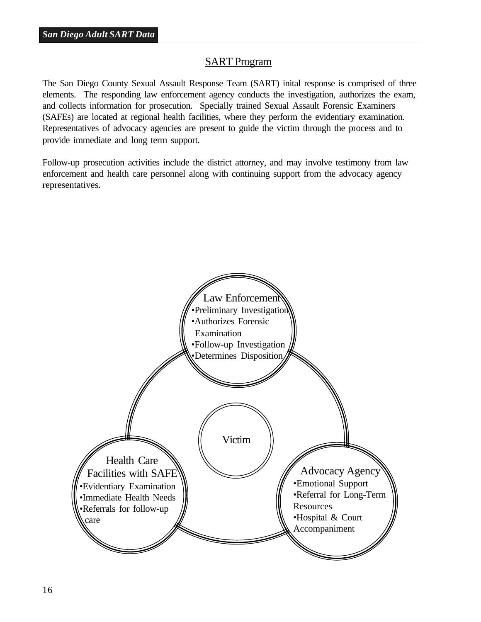#### SART Program

<span id="page-21-0"></span>The San Diego County Sexual Assault Response Team (SART) inital response is comprised of three elements. The responding law enforcement agency conducts the investigation, authorizes the exam, and collects information for prosecution. Specially trained Sexual Assault Forensic Examiners (SAFEs) are located at regional health facilities, where they perform the evidentiary examination. Representatives of advocacy agencies are present to guide the victim through the process and to provide immediate and long term support.

Follow-up prosecution activities include the district attorney, and may involve testimony from law enforcement and health care personnel along with continuing support from the advocacy agency representatives.

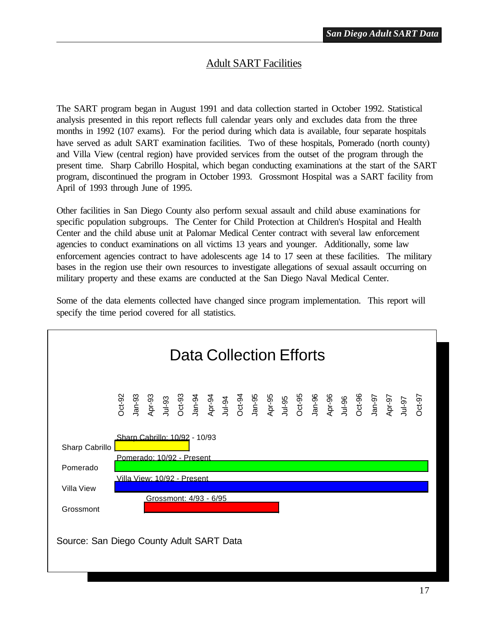#### Adult SART Facilities

<span id="page-22-0"></span>The SART program began in August 1991 and data collection started in October 1992. Statistical analysis presented in this report reflects full calendar years only and excludes data from the three months in 1992 (107 exams). For the period during which data is available, four separate hospitals have served as adult SART examination facilities. Two of these hospitals, Pomerado (north county) and Villa View (central region) have provided services from the outset of the program through the present time. Sharp Cabrillo Hospital, which began conducting examinations at the start of the SART program, discontinued the program in October 1993. Grossmont Hospital was a SART facility from April of 1993 through June of 1995.

Other facilities in San Diego County also perform sexual assault and child abuse examinations for specific population subgroups. The Center for Child Protection at Children's Hospital and Health Center and the child abuse unit at Palomar Medical Center contract with several law enforcement agencies to conduct examinations on all victims 13 years and younger. Additionally, some law enforcement agencies contract to have adolescents age 14 to 17 seen at these facilities. The military bases in the region use their own resources to investigate allegations of sexual assault occurring on military property and these exams are conducted at the San Diego Naval Medical Center.

Some of the data elements collected have changed since program implementation. This report will specify the time period covered for all statistics.

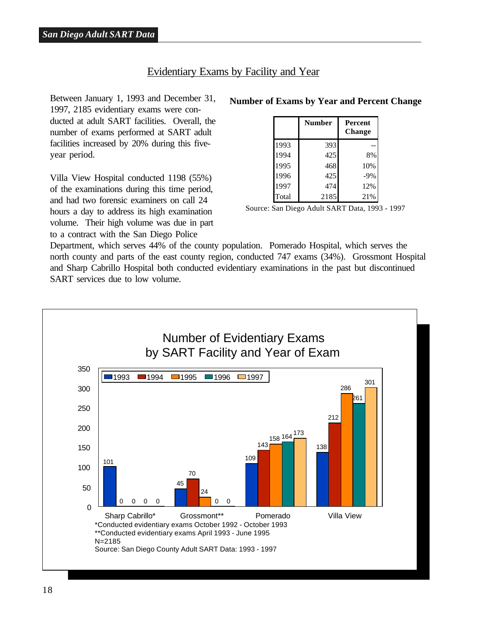#### Evidentiary Exams by Facility and Year

<span id="page-23-0"></span>Between January 1, 1993 and December 31, 1997, 2185 evidentiary exams were conducted at adult SART facilities. Overall, the number of exams performed at SART adult facilities increased by 20% during this fiveyear period.

Villa View Hospital conducted 1198 (55%) of the examinations during this time period, and had two forensic examiners on call 24 hours a day to address its high examination volume. Their high volume was due in part to a contract with the San Diego Police

#### **Number of Exams by Year and Percent Change**

|       | <b>Number</b> | <b>Percent</b><br><b>Change</b> |
|-------|---------------|---------------------------------|
| 1993  | 393           |                                 |
| 1994  | 425           | 8%                              |
| 1995  | 468           | 10%                             |
| 1996  | 425           | $-9%$                           |
| 1997  | 474           | 12%                             |
| Total | 2185          | 21%                             |

Source: San Diego Adult SART Data, 1993 - 1997

Department, which serves 44% of the county population. Pomerado Hospital, which serves the north county and parts of the east county region, conducted 747 exams (34%). Grossmont Hospital and Sharp Cabrillo Hospital both conducted evidentiary examinations in the past but discontinued SART services due to low volume.

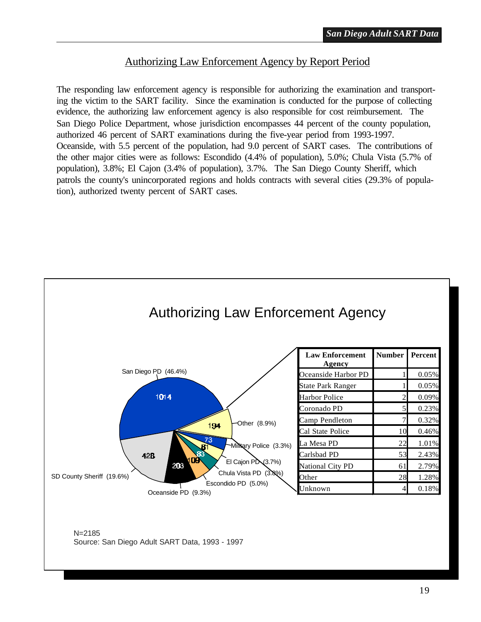#### Authorizing Law Enforcement Agency by Report Period

<span id="page-24-0"></span>The responding law enforcement agency is responsible for authorizing the examination and transporting the victim to the SART facility. Since the examination is conducted for the purpose of collecting evidence, the authorizing law enforcement agency is also responsible for cost reimbursement. The San Diego Police Department, whose jurisdiction encompasses 44 percent of the county population, authorized 46 percent of SART examinations during the five-year period from 1993-1997. Oceanside, with 5.5 percent of the population, had 9.0 percent of SART cases. The contributions of the other major cities were as follows: Escondido (4.4% of population), 5.0%; Chula Vista (5.7% of population), 3.8%; El Cajon (3.4% of population), 3.7%. The San Diego County Sheriff, which patrols the county's unincorporated regions and holds contracts with several cities (29.3% of population), authorized twenty percent of SART cases.

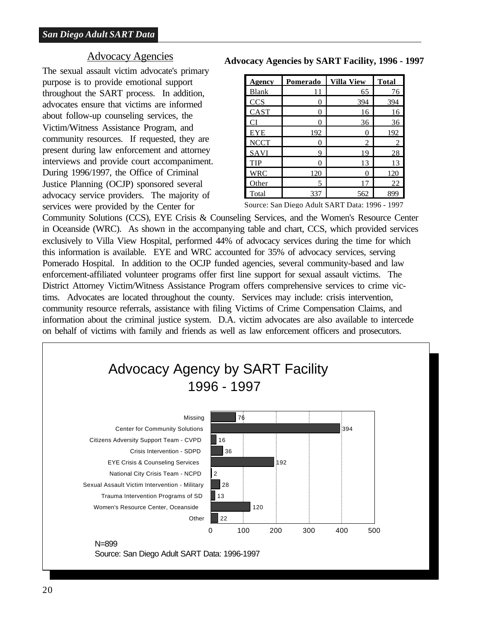#### Advocacy Agencies

<span id="page-25-0"></span>The sexual assault victim advocate's primary purpose is to provide emotional support throughout the SART process. In addition, advocates ensure that victims are informed about follow-up counseling services, the Victim/Witness Assistance Program, and community resources. If requested, they are present during law enforcement and attorney interviews and provide court accompaniment. During 1996/1997, the Office of Criminal Justice Planning (OCJP) sponsored several advocacy service providers. The majority of services were provided by the Center for

| Agency       | Pomerado | <b>Villa View</b> | <b>Total</b>   |
|--------------|----------|-------------------|----------------|
| <b>Blank</b> | 11       | 65                | 76             |
| <b>CCS</b>   |          | 394               | 394            |
| CAST         |          | 16                | 16             |
| CI           |          | 36                | 36             |
| EYE          | 192      | 0                 | 192            |
| <b>NCCT</b>  |          | 2                 | $\overline{c}$ |
| SAVI         | 9        | 19                | 28             |
| <b>TIP</b>   |          | 13                | 13             |
| <b>WRC</b>   | 120      |                   | 120            |
| Other        | 5        |                   | 22             |
| Total        | 337      | 562               | 899            |

**Advocacy Agencies by SART Facility, 1996 - 1997**

Source: San Diego Adult SART Data: 1996 - 1997

Community Solutions (CCS), EYE Crisis & Counseling Services, and the Women's Resource Center in Oceanside (WRC). As shown in the accompanying table and chart, CCS, which provided services exclusively to Villa View Hospital, performed 44% of advocacy services during the time for which this information is available. EYE and WRC accounted for 35% of advocacy services, serving Pomerado Hospital. In addition to the OCJP funded agencies, several community-based and law enforcement-affiliated volunteer programs offer first line support for sexual assault victims. The District Attorney Victim/Witness Assistance Program offers comprehensive services to crime victims. Advocates are located throughout the county. Services may include: crisis intervention, community resource referrals, assistance with filing Victims of Crime Compensation Claims, and information about the criminal justice system. D.A. victim advocates are also available to intercede on behalf of victims with family and friends as well as law enforcement officers and prosecutors.

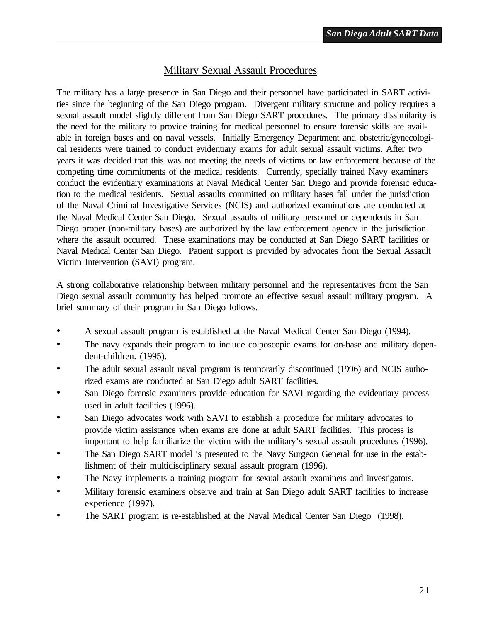#### Military Sexual Assault Procedures

<span id="page-26-0"></span>The military has a large presence in San Diego and their personnel have participated in SART activities since the beginning of the San Diego program. Divergent military structure and policy requires a sexual assault model slightly different from San Diego SART procedures. The primary dissimilarity is the need for the military to provide training for medical personnel to ensure forensic skills are available in foreign bases and on naval vessels. Initially Emergency Department and obstetric/gynecological residents were trained to conduct evidentiary exams for adult sexual assault victims. After two years it was decided that this was not meeting the needs of victims or law enforcement because of the competing time commitments of the medical residents. Currently, specially trained Navy examiners conduct the evidentiary examinations at Naval Medical Center San Diego and provide forensic education to the medical residents. Sexual assaults committed on military bases fall under the jurisdiction of the Naval Criminal Investigative Services (NCIS) and authorized examinations are conducted at the Naval Medical Center San Diego. Sexual assaults of military personnel or dependents in San Diego proper (non-military bases) are authorized by the law enforcement agency in the jurisdiction where the assault occurred. These examinations may be conducted at San Diego SART facilities or Naval Medical Center San Diego. Patient support is provided by advocates from the Sexual Assault Victim Intervention (SAVI) program.

A strong collaborative relationship between military personnel and the representatives from the San Diego sexual assault community has helped promote an effective sexual assault military program. A brief summary of their program in San Diego follows.

- A sexual assault program is established at the Naval Medical Center San Diego (1994).
- The navy expands their program to include colposcopic exams for on-base and military dependent-children. (1995).
- The adult sexual assault naval program is temporarily discontinued (1996) and NCIS authorized exams are conducted at San Diego adult SART facilities.
- San Diego forensic examiners provide education for SAVI regarding the evidentiary process used in adult facilities (1996).
- San Diego advocates work with SAVI to establish a procedure for military advocates to provide victim assistance when exams are done at adult SART facilities. This process is important to help familiarize the victim with the military's sexual assault procedures (1996).
- The San Diego SART model is presented to the Navy Surgeon General for use in the establishment of their multidisciplinary sexual assault program (1996).
- The Navy implements a training program for sexual assault examiners and investigators.
- Military forensic examiners observe and train at San Diego adult SART facilities to increase experience (1997).
- The SART program is re-established at the Naval Medical Center San Diego (1998).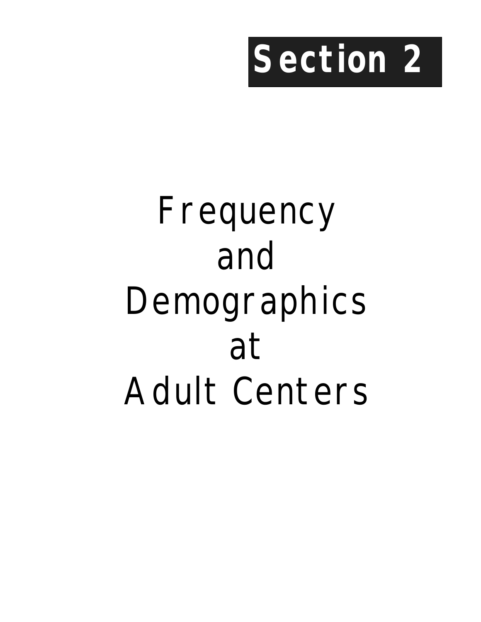

# <span id="page-28-0"></span>Frequency and Demographics at Adult Centers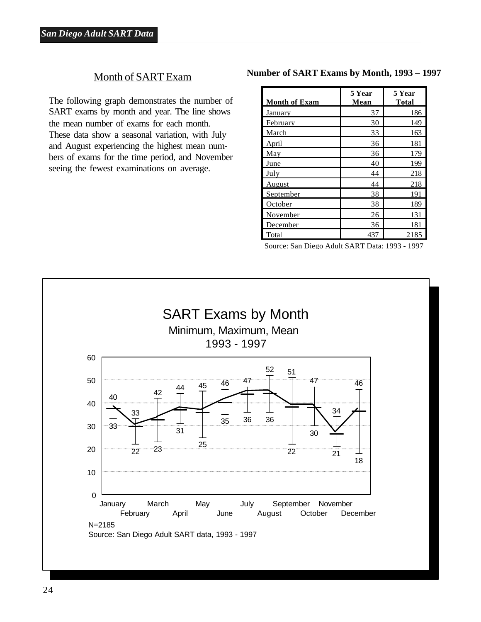#### Month of SART Exam

<span id="page-29-0"></span>The following graph demonstrates the number of SART exams by month and year. The line shows the mean number of exams for each month. These data show a seasonal variation, with July and August experiencing the highest mean numbers of exams for the time period, and November seeing the fewest examinations on average.

#### **Number of SART Exams by Month, 1993 – 1997**

| <b>Month of Exam</b> | 5 Year<br>Mean | 5 Year<br><b>Total</b> |
|----------------------|----------------|------------------------|
| January              | 37             | 186                    |
| February             | 30             | 149                    |
| March                | 33             | 163                    |
| April                | 36             | 181                    |
| May                  | 36             | 179                    |
| June                 | 40             | 199                    |
| July                 | 44             | 218                    |
| August               | 44             | 218                    |
| <u>September</u>     | 38             | 191                    |
| October              | 38             | 189                    |
| November             | 26             | 131                    |
| December             | 36             | 181                    |
| Total                | 437            | 2185                   |

Source: San Diego Adult SART Data: 1993 - 1997

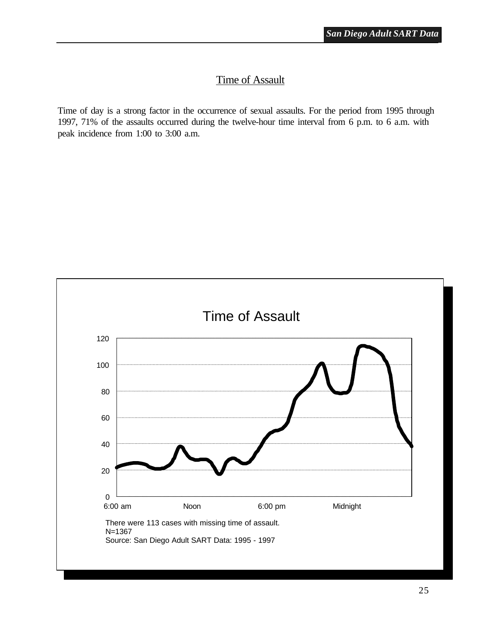#### Time of Assault

<span id="page-30-0"></span>Time of day is a strong factor in the occurrence of sexual assaults. For the period from 1995 through 1997, 71% of the assaults occurred during the twelve-hour time interval from 6 p.m. to 6 a.m. with peak incidence from 1:00 to 3:00 a.m.

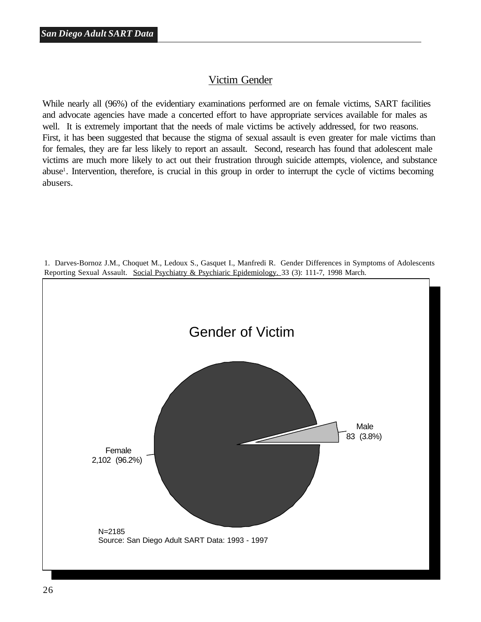#### Victim Gender

<span id="page-31-0"></span>While nearly all (96%) of the evidentiary examinations performed are on female victims, SART facilities and advocate agencies have made a concerted effort to have appropriate services available for males as well. It is extremely important that the needs of male victims be actively addressed, for two reasons. First, it has been suggested that because the stigma of sexual assault is even greater for male victims than for females, they are far less likely to report an assault. Second, research has found that adolescent male victims are much more likely to act out their frustration through suicide attempts, violence, and substance abuse<sup>1</sup>. Intervention, therefore, is crucial in this group in order to interrupt the cycle of victims becoming abusers.



1. Darves-Bornoz J.M., Choquet M., Ledoux S., Gasquet I., Manfredi R. Gender Differences in Symptoms of Adolescents Reporting Sexual Assault. Social Psychiatry & Psychiaric Epidemiology. 33 (3): 111-7, 1998 March.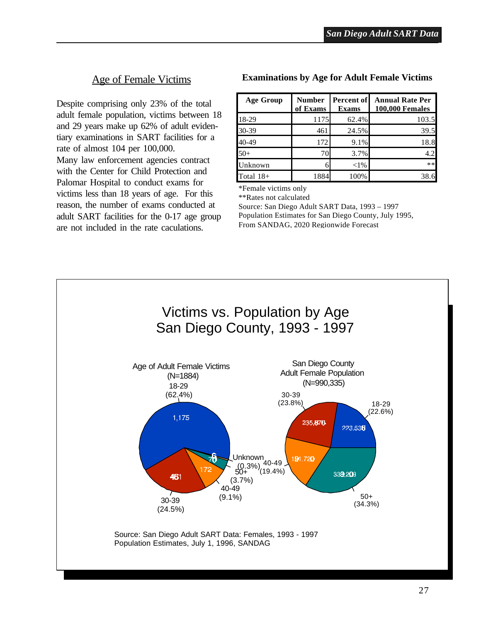#### Age of Female Victims

<span id="page-32-0"></span>Despite comprising only 23% of the total adult female population, victims between 18 and 29 years make up 62% of adult evidentiary examinations in SART facilities for a rate of almost 104 per 100,000. Many law enforcement agencies contract with the Center for Child Protection and Palomar Hospital to conduct exams for victims less than 18 years of age. For this reason, the number of exams conducted at adult SART facilities for the 0-17 age group are not included in the rate caculations.

#### **Examinations by Age for Adult Female Victims**

| <b>Age Group</b> | <b>Number</b><br>of Exams | Percent of<br><b>Exams</b> | <b>Annual Rate Per</b><br><b>100,000 Females</b> |  |  |
|------------------|---------------------------|----------------------------|--------------------------------------------------|--|--|
| 18-29            | 1175                      | 62.4%                      | 103.5                                            |  |  |
| 30-39            | 461                       | 24.5%                      | 39.5                                             |  |  |
| 40-49            | 172                       | 9.1%                       | 18.8                                             |  |  |
| $50+$            | 70                        | 3.7%                       | 4.2                                              |  |  |
| Unknown          |                           | $<$ 1%                     | **                                               |  |  |
| Total $18+$      | 1884                      | 100%                       |                                                  |  |  |

\*Female victims only

\*\*Rates not calculated

Source: San Diego Adult SART Data, 1993 – 1997 Population Estimates for San Diego County, July 1995, From SANDAG, 2020 Regionwide Forecast

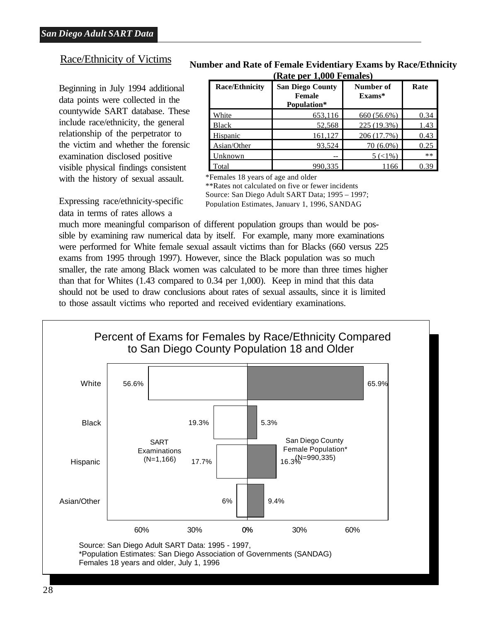#### <span id="page-33-0"></span>Race/Ethnicity of Victims

Beginning in July 1994 additional data points were collected in the countywide SART database. These include race/ethnicity, the general relationship of the perpetrator to the victim and whether the forensic examination disclosed positive visible physical findings consistent with the history of sexual assault.

Expressing race/ethnicity-specific data in terms of rates allows a

#### **Number and Rate of Female Evidentiary Exams by Race/Ethnicity (Rate per 1,000 Females)**

| <b>Race/Ethnicity</b> | <b>San Diego County</b><br><b>Female</b><br>Population* | Number of<br>$Exams*$ | Rate |  |
|-----------------------|---------------------------------------------------------|-----------------------|------|--|
| White                 | 653,116                                                 | 660 (56.6%)           | 0.34 |  |
| <b>Black</b>          | 52,568                                                  | 225 (19.3%)           | 1.43 |  |
| Hispanic              | 161,127                                                 | 206 (17.7%)           | 0.43 |  |
| Asian/Other           | 93,524                                                  | $70(6.0\%)$           | 0.25 |  |
| <b>nknown</b>         |                                                         | $5 (< 1\%)$           | **   |  |
| Total                 | 990.335                                                 | 1166                  | በ 39 |  |

\*Females 18 years of age and older

\*\*Rates not calculated on five or fewer incidents Source: San Diego Adult SART Data; 1995 – 1997; Population Estimates, January 1, 1996, SANDAG

much more meaningful comparison of different population groups than would be possible by examining raw numerical data by itself. For example, many more examinations were performed for White female sexual assault victims than for Blacks (660 versus 225 exams from 1995 through 1997). However, since the Black population was so much smaller, the rate among Black women was calculated to be more than three times higher than that for Whites (1.43 compared to 0.34 per 1,000). Keep in mind that this data should not be used to draw conclusions about rates of sexual assaults, since it is limited to those assault victims who reported and received evidentiary examinations.

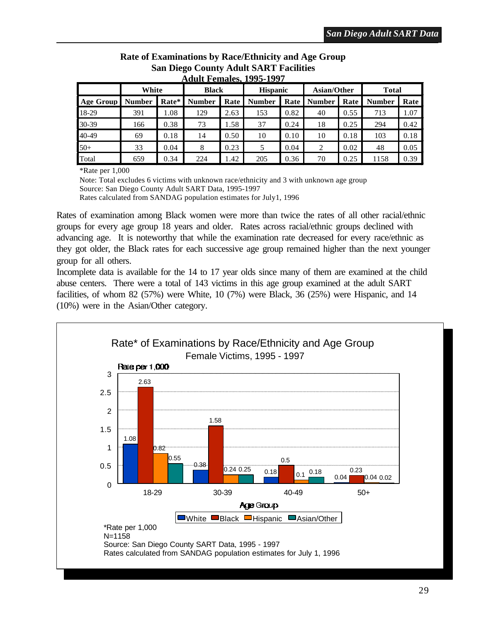<span id="page-34-0"></span>

| <b>Adult Females, 1995-1997</b> |               |       |               |      |                 |      |                    |      |               |      |
|---------------------------------|---------------|-------|---------------|------|-----------------|------|--------------------|------|---------------|------|
| White                           |               |       | <b>Black</b>  |      | <b>Hispanic</b> |      | <b>Asian/Other</b> |      | <b>Total</b>  |      |
| <b>Age Group</b>                | <b>Number</b> | Rate* | <b>Number</b> | Rate | <b>Number</b>   | Rate | <b>Number</b>      | Rate | <b>Number</b> | Rate |
| 18-29                           | 391           | 1.08  | 129           | 2.63 | 153             | 0.82 | 40                 | 0.55 | 713           | 1.07 |
| 30-39                           | 166           | 0.38  | 73            | 1.58 | 37              | 0.24 | 18                 | 0.25 | 294           | 0.42 |
| 40-49                           | 69            | 0.18  | 14            | 0.50 | 10              | 0.10 | 10                 | 0.18 | 103           | 0.18 |
| $50+$                           | 33            | 0.04  | 8             | 0.23 | 5               | 0.04 | 2                  | 0.02 | 48            | 0.05 |
| Total                           | 659           | 0.34  | 224           | 1.42 | 205             | 0.36 | 70                 | 0.25 | 1158          | 0.39 |

# **Rate of Examinations by Race/Ethnicity and Age Group San Diego County Adult SART Facilities**

\*Rate per 1,000

Note: Total excludes 6 victims with unknown race/ethnicity and 3 with unknown age group Source: San Diego County Adult SART Data, 1995-1997 Rates calculated from SANDAG population estimates for July1, 1996

Rates of examination among Black women were more than twice the rates of all other racial/ethnic groups for every age group 18 years and older. Rates across racial/ethnic groups declined with advancing age. It is noteworthy that while the examination rate decreased for every race/ethnic as they got older, the Black rates for each successive age group remained higher than the next younger group for all others.

Incomplete data is available for the 14 to 17 year olds since many of them are examined at the child abuse centers. There were a total of 143 victims in this age group examined at the adult SART facilities, of whom 82 (57%) were White, 10 (7%) were Black, 36 (25%) were Hispanic, and 14 (10%) were in the Asian/Other category.

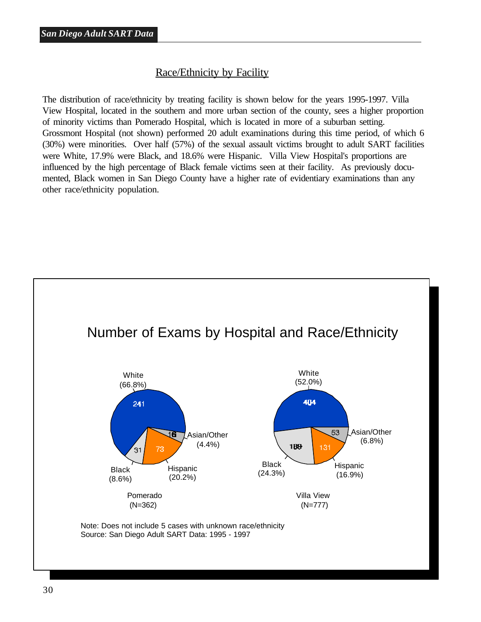#### Race/Ethnicity by Facility

<span id="page-35-0"></span>The distribution of race/ethnicity by treating facility is shown below for the years 1995-1997. Villa View Hospital, located in the southern and more urban section of the county, sees a higher proportion of minority victims than Pomerado Hospital, which is located in more of a suburban setting. Grossmont Hospital (not shown) performed 20 adult examinations during this time period, of which 6 (30%) were minorities. Over half (57%) of the sexual assault victims brought to adult SART facilities were White, 17.9% were Black, and 18.6% were Hispanic. Villa View Hospital's proportions are influenced by the high percentage of Black female victims seen at their facility. As previously documented, Black women in San Diego County have a higher rate of evidentiary examinations than any other race/ethnicity population.

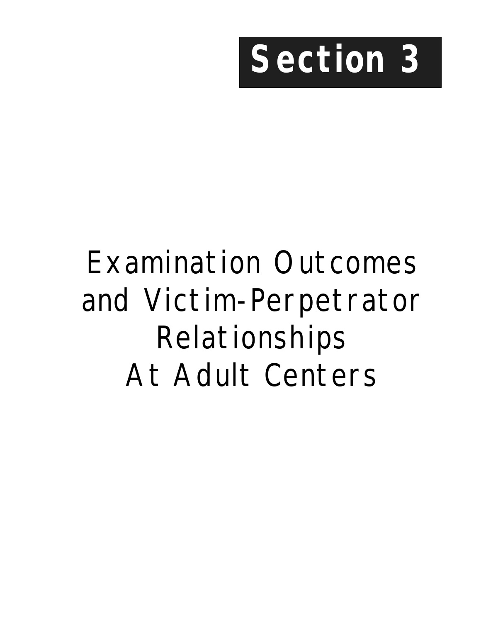

## Examination Outcomes and Victim-Perpetrator Relationships At Adult Centers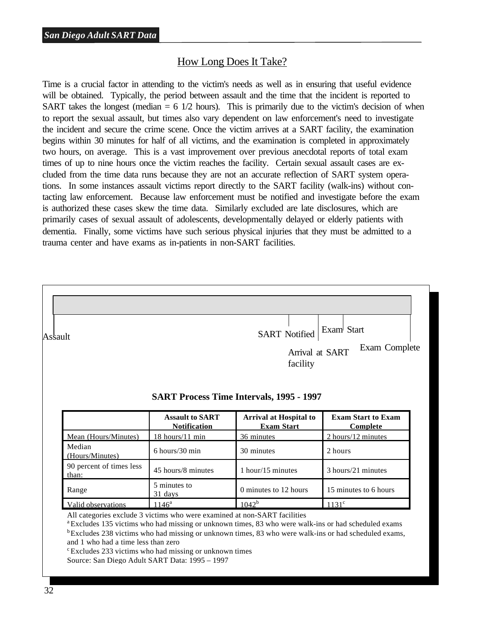## How Long Does It Take?

Time is a crucial factor in attending to the victim's needs as well as in ensuring that useful evidence will be obtained. Typically, the period between assault and the time that the incident is reported to SART takes the longest (median  $= 6 \frac{1}{2}$  hours). This is primarily due to the victim's decision of when to report the sexual assault, but times also vary dependent on law enforcement's need to investigate the incident and secure the crime scene. Once the victim arrives at a SART facility, the examination begins within 30 minutes for half of all victims, and the examination is completed in approximately two hours, on average. This is a vast improvement over previous anecdotal reports of total exam times of up to nine hours once the victim reaches the facility. Certain sexual assault cases are excluded from the time data runs because they are not an accurate reflection of SART system operations. In some instances assault victims report directly to the SART facility (walk-ins) without contacting law enforcement. Because law enforcement must be notified and investigate before the exam is authorized these cases skew the time data. Similarly excluded are late disclosures, which are primarily cases of sexual assault of adolescents, developmentally delayed or elderly patients with dementia. Finally, some victims have such serious physical injuries that they must be admitted to a trauma center and have exams as in-patients in non-SART facilities.



<sup>a</sup> Excludes 135 victims who had missing or unknown times, 83 who were walk-ins or had scheduled exams  $b_{\rm Excludes}$  238 victims who had missing or unknown times, 83 who were walk-ins or had scheduled exams, and 1 who had a time less than zero

 $\textdegree$ Excludes 233 victims who had missing or unknown times

Source: San Diego Adult SART Data: 1995 – 1997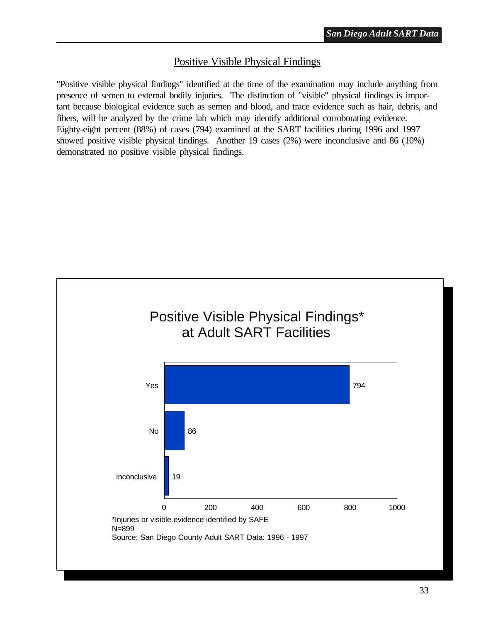#### Positive Visible Physical Findings

"Positive visible physical findings" identified at the time of the examination may include anything from presence of semen to external bodily injuries. The distinction of "visible" physical findings is important because biological evidence such as semen and blood, and trace evidence such as hair, debris, and fibers, will be analyzed by the crime lab which may identify additional corroborating evidence. Eighty-eight percent (88%) of cases (794) examined at the SART facilities during 1996 and 1997 showed positive visible physical findings. Another 19 cases (2%) were inconclusive and 86 (10%) demonstrated no positive visible physical findings.

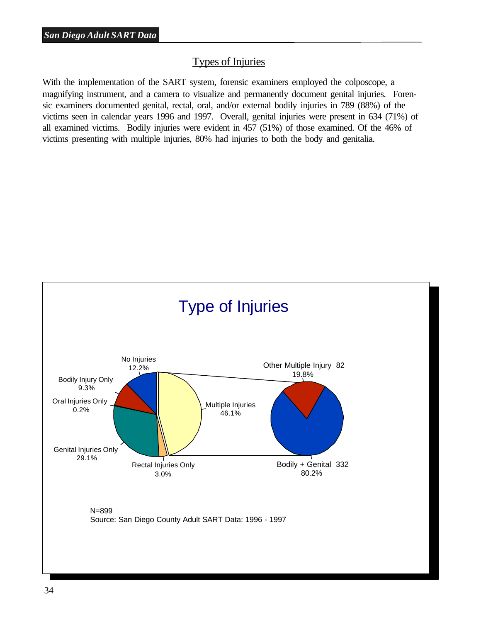#### Types of Injuries

With the implementation of the SART system, forensic examiners employed the colposcope, a magnifying instrument, and a camera to visualize and permanently document genital injuries. Forensic examiners documented genital, rectal, oral, and/or external bodily injuries in 789 (88%) of the victims seen in calendar years 1996 and 1997. Overall, genital injuries were present in 634 (71%) of all examined victims. Bodily injuries were evident in 457 (51%) of those examined. Of the 46% of victims presenting with multiple injuries, 80% had injuries to both the body and genitalia.

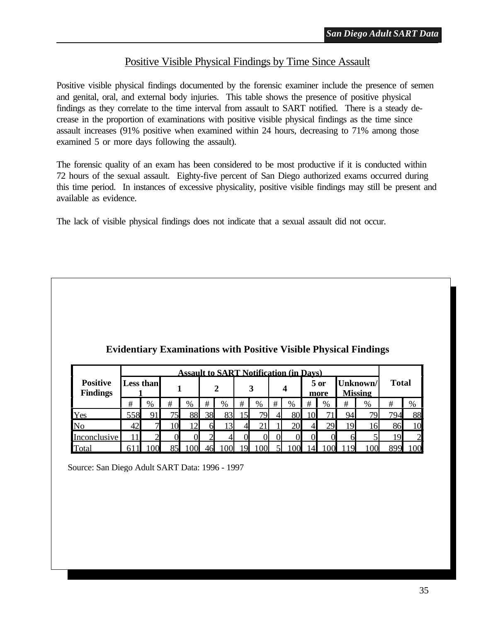#### Positive Visible Physical Findings by Time Since Assault

Positive visible physical findings documented by the forensic examiner include the presence of semen and genital, oral, and external body injuries. This table shows the presence of positive physical findings as they correlate to the time interval from assault to SART notified. There is a steady decrease in the proportion of examinations with positive visible physical findings as the time since assault increases (91% positive when examined within 24 hours, decreasing to 71% among those examined 5 or more days following the assault).

The forensic quality of an exam has been considered to be most productive if it is conducted within 72 hours of the sexual assault. Eighty-five percent of San Diego authorized exams occurred during this time period. In instances of excessive physicality, positive visible findings may still be present and available as evidence.

The lack of visible physical findings does not indicate that a sexual assault did not occur.

|                                    | <b>Assault to SART Notification (in Days)</b> |                |    |      |    |    |   |                 |   |    |                |    |                            |                 |              |                |
|------------------------------------|-----------------------------------------------|----------------|----|------|----|----|---|-----------------|---|----|----------------|----|----------------------------|-----------------|--------------|----------------|
| <b>Positive</b><br><b>Findings</b> | Less than                                     |                |    |      |    |    |   |                 |   |    | $5$ or<br>more |    | Unknown/<br><b>Missing</b> |                 | <b>Total</b> |                |
|                                    | #                                             | %              | #  | $\%$ | #  | %  | # | $\%$            | # | %  | #              | %  | #                          | %               | #            | %              |
| Yes                                | 558                                           |                | 75 | 88   | 38 | 83 |   | 79 <sub>1</sub> |   | 80 |                |    | 94                         | 79.             | 794          | 88             |
| No                                 | 42                                            | $\mathcal{L}$  | 10 | ר ו  | 61 |    |   |                 |   | 20 |                | 29 | 19                         | 16              | 86           | 10             |
| Inconclusive                       |                                               | $\overline{2}$ |    |      |    |    |   |                 |   | 0  |                |    |                            |                 | 19           | $\overline{2}$ |
| Total                              |                                               | ∩∩             | Qς |      |    |    |   |                 |   |    |                |    |                            | 10 <sup>c</sup> |              | $00 \,$        |

#### **Evidentiary Examinations with Positive Visible Physical Findings**

Source: San Diego Adult SART Data: 1996 - 1997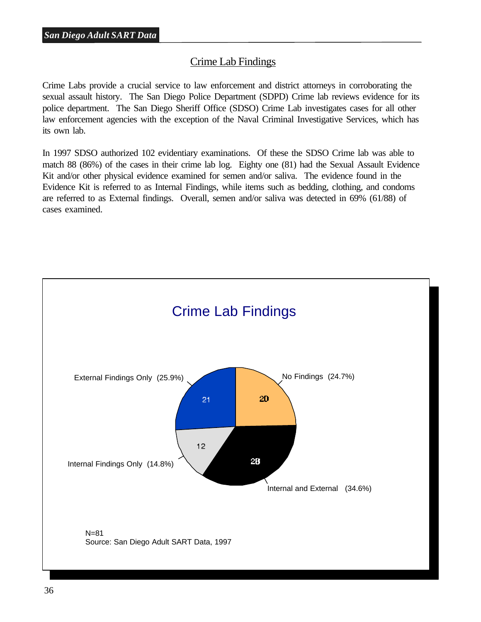#### Crime Lab Findings

Crime Labs provide a crucial service to law enforcement and district attorneys in corroborating the sexual assault history. The San Diego Police Department (SDPD) Crime lab reviews evidence for its police department. The San Diego Sheriff Office (SDSO) Crime Lab investigates cases for all other law enforcement agencies with the exception of the Naval Criminal Investigative Services, which has its own lab.

In 1997 SDSO authorized 102 evidentiary examinations. Of these the SDSO Crime lab was able to match 88 (86%) of the cases in their crime lab log. Eighty one (81) had the Sexual Assault Evidence Kit and/or other physical evidence examined for semen and/or saliva. The evidence found in the Evidence Kit is referred to as Internal Findings, while items such as bedding, clothing, and condoms are referred to as External findings. Overall, semen and/or saliva was detected in 69% (61/88) of cases examined.

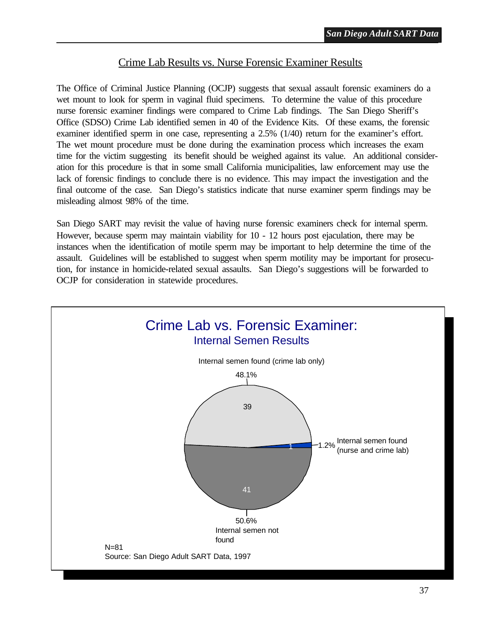#### Crime Lab Results vs. Nurse Forensic Examiner Results

The Office of Criminal Justice Planning (OCJP) suggests that sexual assault forensic examiners do a wet mount to look for sperm in vaginal fluid specimens. To determine the value of this procedure nurse forensic examiner findings were compared to Crime Lab findings. The San Diego Sheriff's Office (SDSO) Crime Lab identified semen in 40 of the Evidence Kits. Of these exams, the forensic examiner identified sperm in one case, representing a 2.5% (1/40) return for the examiner's effort. The wet mount procedure must be done during the examination process which increases the exam time for the victim suggesting its benefit should be weighed against its value. An additional consideration for this procedure is that in some small California municipalities, law enforcement may use the lack of forensic findings to conclude there is no evidence. This may impact the investigation and the final outcome of the case. San Diego's statistics indicate that nurse examiner sperm findings may be misleading almost 98% of the time.

San Diego SART may revisit the value of having nurse forensic examiners check for internal sperm. However, because sperm may maintain viability for 10 - 12 hours post ejaculation, there may be instances when the identification of motile sperm may be important to help determine the time of the assault. Guidelines will be established to suggest when sperm motility may be important for prosecution, for instance in homicide-related sexual assaults. San Diego's suggestions will be forwarded to OCJP for consideration in statewide procedures.

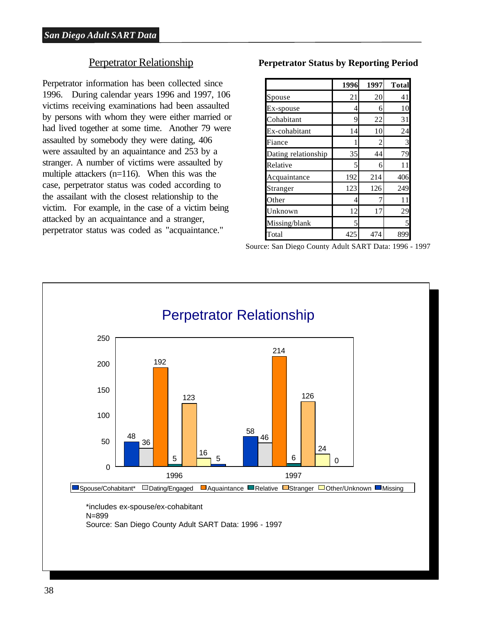#### Perpetrator Relationship

Perpetrator information has been collected since 1996. During calendar years 1996 and 1997, 106 victims receiving examinations had been assaulted by persons with whom they were either married or had lived together at some time. Another 79 were assaulted by somebody they were dating, 406 were assaulted by an aquaintance and 253 by a stranger. A number of victims were assaulted by multiple attackers (n=116). When this was the case, perpetrator status was coded according to the assailant with the closest relationship to the victim. For example, in the case of a victim being attacked by an acquaintance and a stranger, perpetrator status was coded as "acquaintance."

**Perpetrator Status by Reporting Period**

|                     | 1996 | 1997 | <b>Total</b> |
|---------------------|------|------|--------------|
| Spouse              | 21   | 20   | 41           |
| Ex-spouse           | 4    | 6    | 10           |
| Cohabitant          | 9    | 22   | 31           |
| Ex-cohabitant       | 14   | 10   | 24           |
| Fiance              |      | 2    | 3            |
| Dating relationship | 35   | 44   | 79           |
| Relative            | 5    | 6    | 11           |
| Acquaintance        | 192  | 214  | 406          |
| Stranger            | 123  | 126  | 249          |
| Other               | 4    |      | 11           |
| Unknown             | 12   | 17   | 29           |
| Missing/blank       | 5    |      | 5            |
| Total               | 425  | 474  | 899          |

Source: San Diego County Adult SART Data: 1996 - 1997

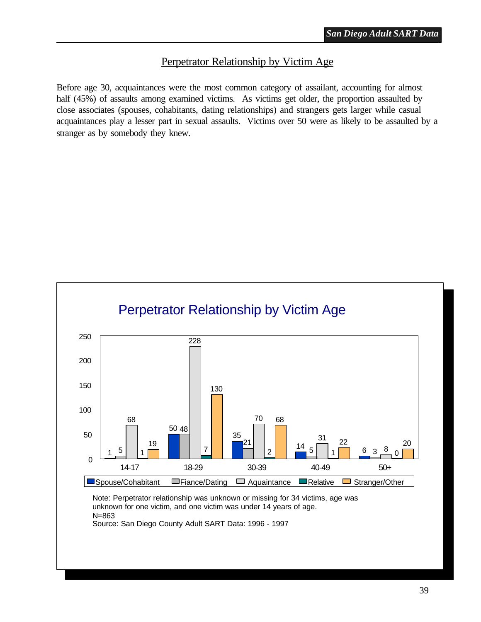#### Perpetrator Relationship by Victim Age

Before age 30, acquaintances were the most common category of assailant, accounting for almost half (45%) of assaults among examined victims. As victims get older, the proportion assaulted by close associates (spouses, cohabitants, dating relationships) and strangers gets larger while casual acquaintances play a lesser part in sexual assaults. Victims over 50 were as likely to be assaulted by a stranger as by somebody they knew.

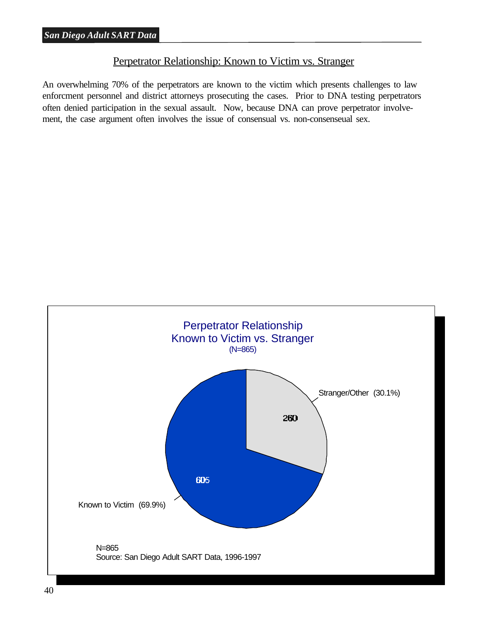#### Perpetrator Relationship: Known to Victim vs. Stranger

An overwhelming 70% of the perpetrators are known to the victim which presents challenges to law enforcment personnel and district attorneys prosecuting the cases. Prior to DNA testing perpetrators often denied participation in the sexual assault. Now, because DNA can prove perpetrator involvement, the case argument often involves the issue of consensual vs. non-consenseual sex.

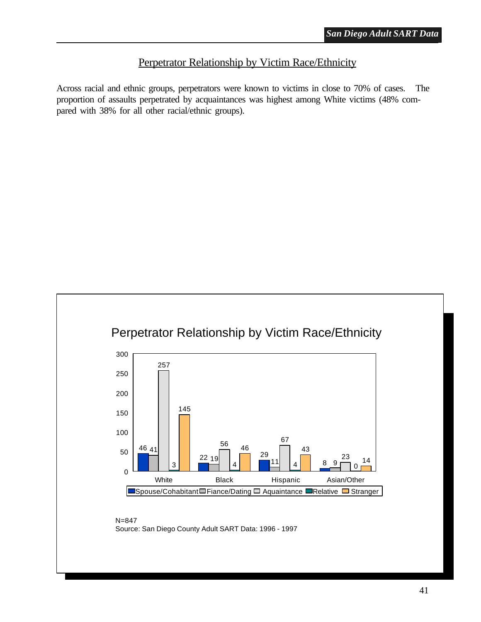#### Perpetrator Relationship by Victim Race/Ethnicity

Across racial and ethnic groups, perpetrators were known to victims in close to 70% of cases. The proportion of assaults perpetrated by acquaintances was highest among White victims (48% compared with 38% for all other racial/ethnic groups).

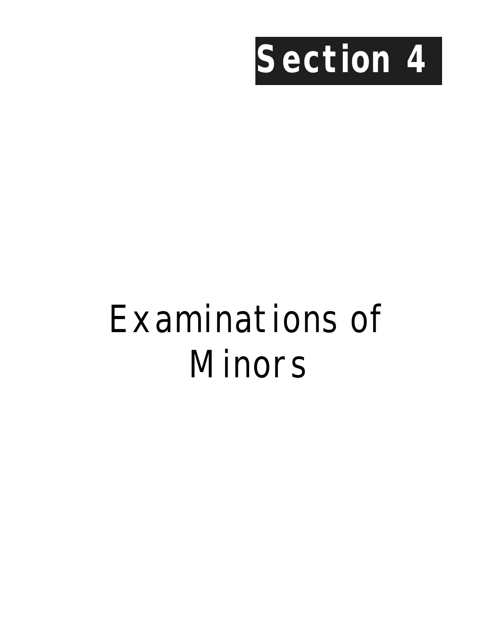

# Examinations of Minors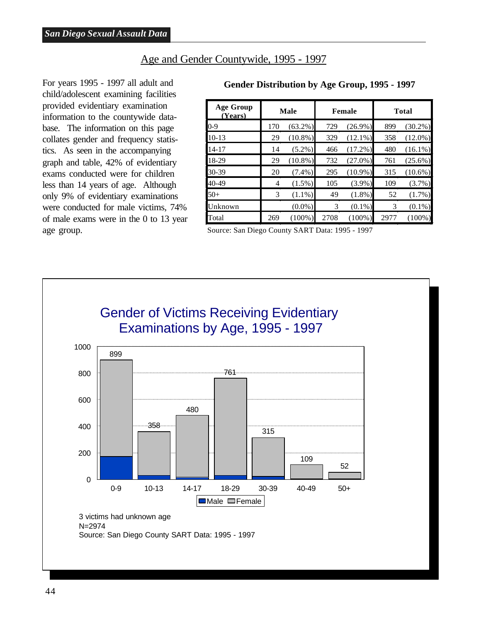#### Age and Gender Countywide, 1995 - 1997

For years 1995 - 1997 all adult and child/adolescent examining facilities provided evidentiary examination information to the countywide database. The information on this page collates gender and frequency statistics. As seen in the accompanying graph and table, 42% of evidentiary exams conducted were for children less than 14 years of age. Although only 9% of evidentiary examinations were conducted for male victims, 74% of male exams were in the 0 to 13 year age group.

| <b>Age Group</b><br>(Years) | <b>Male</b> |            |      | Female     | <b>Total</b> |            |  |
|-----------------------------|-------------|------------|------|------------|--------------|------------|--|
| $0-9$                       | 170         | $(63.2\%)$ | 729  | $(26.9\%)$ | 899          | $(30.2\%)$ |  |
| $10-13$                     | 29          | $(10.8\%)$ | 329  | $(12.1\%)$ | 358          | $(12.0\%)$ |  |
| $14 - 17$                   | 14          | $(5.2\%)$  | 466  | $(17.2\%)$ | 480          | $(16.1\%)$ |  |
| 18-29                       | 29          | $(10.8\%)$ | 732  | $(27.0\%)$ | 761          | $(25.6\%)$ |  |
| 30-39                       | 20          | $(7.4\%)$  | 295  | $(10.9\%)$ | 315          | $(10.6\%)$ |  |
| 40-49                       | 4           | $(1.5\%)$  | 105  | $(3.9\%)$  | 109          | $(3.7\%)$  |  |
| $50+$                       | 3           | $(1.1\%)$  | 49   | $(1.8\%)$  | 52           | $(1.7\%)$  |  |
| Unknown                     |             | $(0.0\%)$  | 3    | $(0.1\%)$  | 3            | $(0.1\%)$  |  |
| Total                       | 269         | $(100\%)$  | 2708 | $(100\%)$  | 2977         | $(100\%)$  |  |

#### **Gender Distribution by Age Group, 1995 - 1997**

Source: San Diego County SART Data: 1995 - 1997

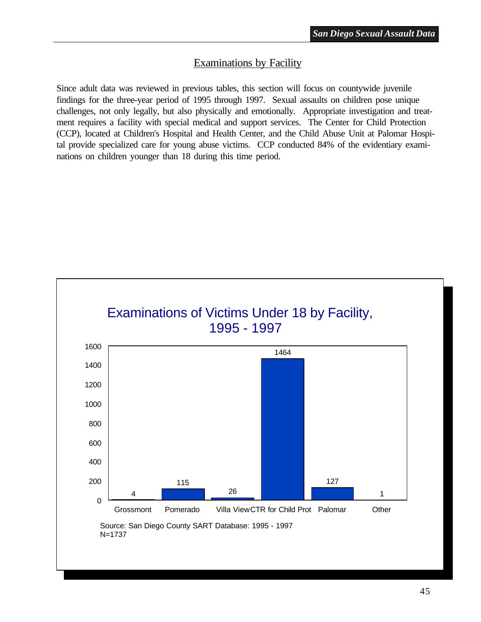#### Examinations by Facility

Since adult data was reviewed in previous tables, this section will focus on countywide juvenile findings for the three-year period of 1995 through 1997. Sexual assaults on children pose unique challenges, not only legally, but also physically and emotionally. Appropriate investigation and treatment requires a facility with special medical and support services. The Center for Child Protection (CCP), located at Children's Hospital and Health Center, and the Child Abuse Unit at Palomar Hospital provide specialized care for young abuse victims. CCP conducted 84% of the evidentiary examinations on children younger than 18 during this time period.

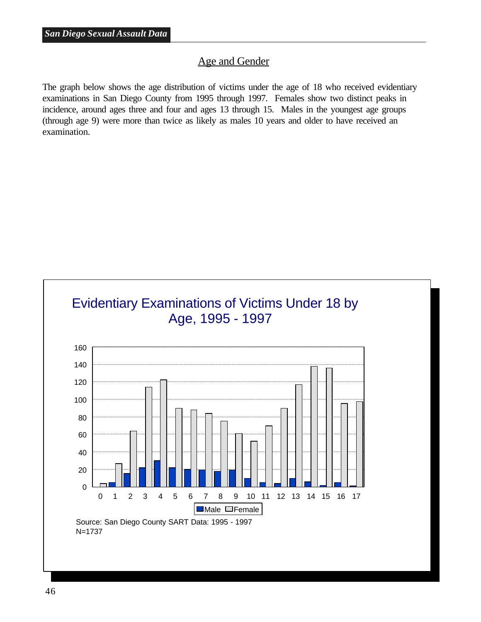#### Age and Gender

The graph below shows the age distribution of victims under the age of 18 who received evidentiary examinations in San Diego County from 1995 through 1997. Females show two distinct peaks in incidence, around ages three and four and ages 13 through 15. Males in the youngest age groups (through age 9) were more than twice as likely as males 10 years and older to have received an examination.

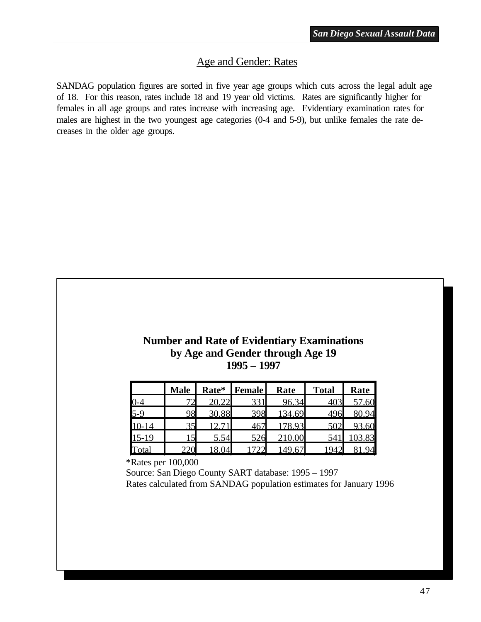#### Age and Gender: Rates

SANDAG population figures are sorted in five year age groups which cuts across the legal adult age of 18. For this reason, rates include 18 and 19 year old victims. Rates are significantly higher for females in all age groups and rates increase with increasing age. Evidentiary examination rates for males are highest in the two youngest age categories (0-4 and 5-9), but unlike females the rate decreases in the older age groups.

#### **Number and Rate of Evidentiary Examinations by Age and Gender through Age 19 1995 – 1997**

|         | <b>Male</b> |       | Rate* Female | Rate   | <b>Total</b> | <b>Rate</b> |
|---------|-------------|-------|--------------|--------|--------------|-------------|
|         |             |       |              | 96.34  |              | 57.60       |
| $5-9$   | 98          | 30.88 | 398          | 134.69 |              |             |
| $-1$    | າ ເ         |       |              |        |              |             |
| $15-19$ |             | 5.54  |              |        |              |             |
|         |             |       |              |        |              |             |

\*Rates per 100,000

 Source: San Diego County SART database: 1995 – 1997 Rates calculated from SANDAG population estimates for January 1996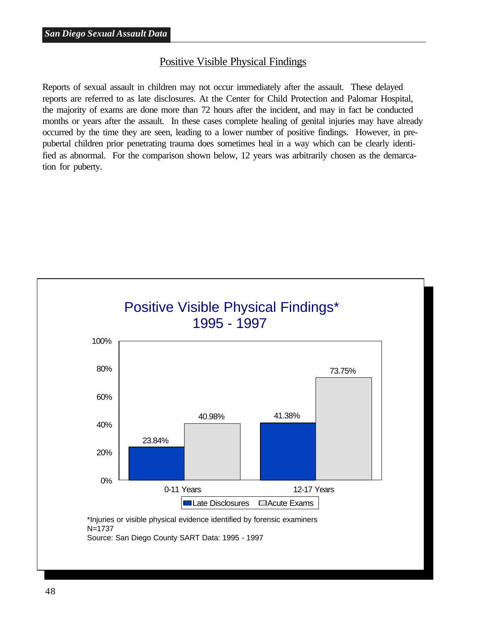#### Positive Visible Physical Findings

Reports of sexual assault in children may not occur immediately after the assault. These delayed reports are referred to as late disclosures. At the Center for Child Protection and Palomar Hospital, the majority of exams are done more than 72 hours after the incident, and may in fact be conducted months or years after the assault. In these cases complete healing of genital injuries may have already occurred by the time they are seen, leading to a lower number of positive findings. However, in prepubertal children prior penetrating trauma does sometimes heal in a way which can be clearly identified as abnormal. For the comparison shown below, 12 years was arbitrarily chosen as the demarcation for puberty.

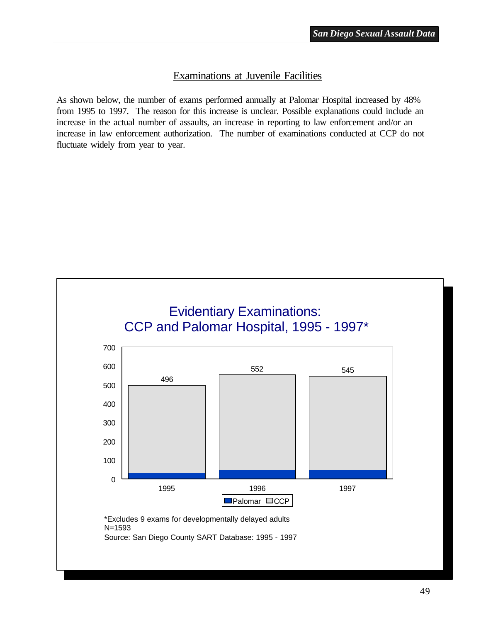#### Examinations at Juvenile Facilities

As shown below, the number of exams performed annually at Palomar Hospital increased by 48% from 1995 to 1997. The reason for this increase is unclear. Possible explanations could include an increase in the actual number of assaults, an increase in reporting to law enforcement and/or an increase in law enforcement authorization. The number of examinations conducted at CCP do not fluctuate widely from year to year.

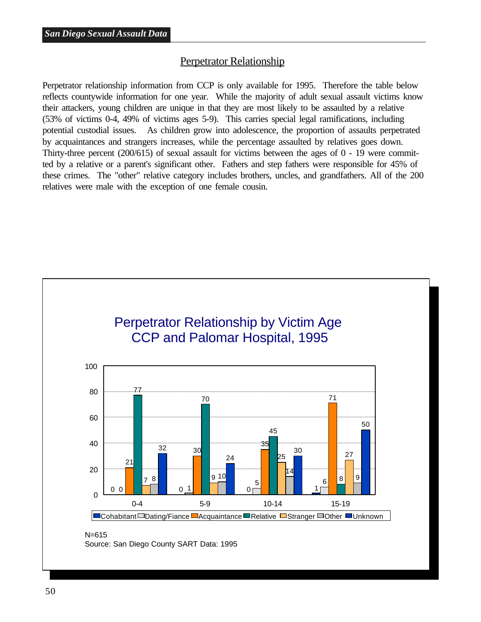#### Perpetrator Relationship

Perpetrator relationship information from CCP is only available for 1995. Therefore the table below reflects countywide information for one year. While the majority of adult sexual assault victims know their attackers, young children are unique in that they are most likely to be assaulted by a relative (53% of victims 0-4, 49% of victims ages 5-9). This carries special legal ramifications, including potential custodial issues. As children grow into adolescence, the proportion of assaults perpetrated by acquaintances and strangers increases, while the percentage assaulted by relatives goes down. Thirty-three percent (200/615) of sexual assault for victims between the ages of 0 - 19 were committed by a relative or a parent's significant other. Fathers and step fathers were responsible for 45% of these crimes. The "other" relative category includes brothers, uncles, and grandfathers. All of the 200 relatives were male with the exception of one female cousin.



Source: San Diego County SART Data: 1995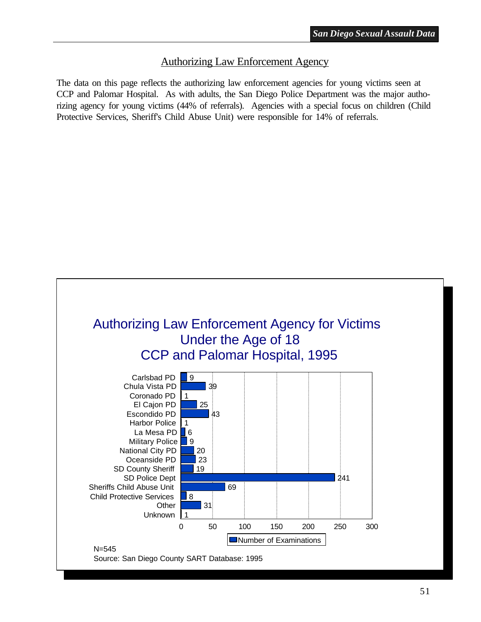#### Authorizing Law Enforcement Agency

The data on this page reflects the authorizing law enforcement agencies for young victims seen at CCP and Palomar Hospital. As with adults, the San Diego Police Department was the major authorizing agency for young victims (44% of referrals). Agencies with a special focus on children (Child Protective Services, Sheriff's Child Abuse Unit) were responsible for 14% of referrals.

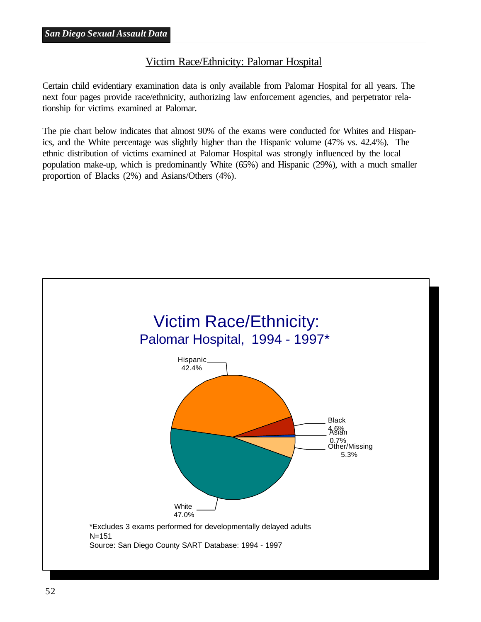#### Victim Race/Ethnicity: Palomar Hospital

Certain child evidentiary examination data is only available from Palomar Hospital for all years. The next four pages provide race/ethnicity, authorizing law enforcement agencies, and perpetrator relationship for victims examined at Palomar.

The pie chart below indicates that almost 90% of the exams were conducted for Whites and Hispanics, and the White percentage was slightly higher than the Hispanic volume (47% vs. 42.4%). The ethnic distribution of victims examined at Palomar Hospital was strongly influenced by the local population make-up, which is predominantly White (65%) and Hispanic (29%), with a much smaller proportion of Blacks (2%) and Asians/Others (4%).

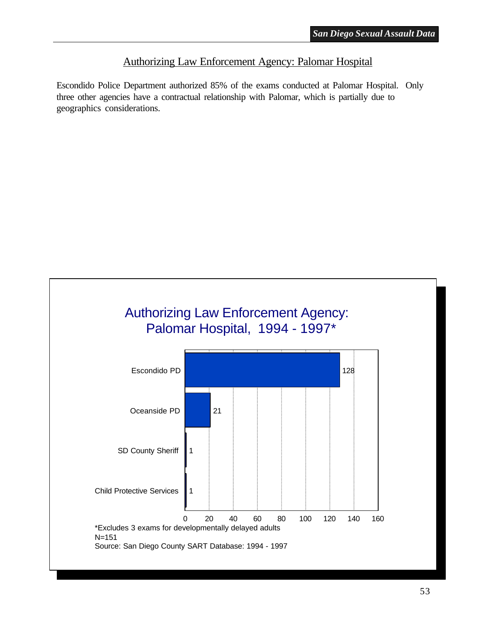#### Authorizing Law Enforcement Agency: Palomar Hospital

Escondido Police Department authorized 85% of the exams conducted at Palomar Hospital. Only three other agencies have a contractual relationship with Palomar, which is partially due to geographics considerations.

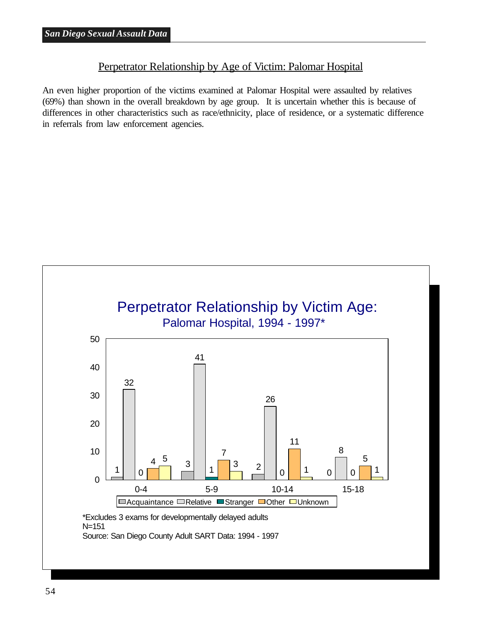#### Perpetrator Relationship by Age of Victim: Palomar Hospital

An even higher proportion of the victims examined at Palomar Hospital were assaulted by relatives (69%) than shown in the overall breakdown by age group. It is uncertain whether this is because of differences in other characteristics such as race/ethnicity, place of residence, or a systematic difference in referrals from law enforcement agencies.

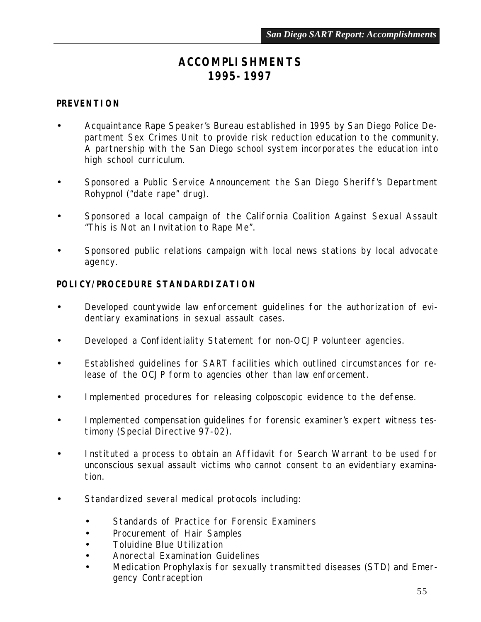## *ACCOMPLISHMENTS 1995-1997*

#### *PREVENTION*

- Acquaintance Rape Speaker's Bureau established in 1995 by San Diego Police Department Sex Crimes Unit to provide risk reduction education to the community. A partnership with the San Diego school system incorporates the education into high school curriculum.
- Sponsored a Public Service Announcement the San Diego Sheriff's Department Rohypnol ("date rape" drug).
- Sponsored a local campaign of the California Coalition Against Sexual Assault "This is Not an Invitation to Rape Me".
- Sponsored public relations campaign with local news stations by local advocate agency.

#### **POLICY/PROCEDURE STANDARDIZATION**

- Developed countywide law enforcement guidelines for the authorization of evidentiary examinations in sexual assault cases.
- Developed a Confidentiality Statement for non-OCJP volunteer agencies.
- Established guidelines for SART facilities which outlined circumstances for release of the OCJP form to agencies other than law enforcement.
- Implemented procedures for releasing colposcopic evidence to the defense.
- Implemented compensation guidelines for forensic examiner's expert witness testimony (Special Directive 97-02).
- Instituted a process to obtain an Affidavit for Search Warrant to be used for unconscious sexual assault victims who cannot consent to an evidentiary examination.
- Standardized several medical protocols including:
	- Standards of Practice for Forensic Examiners
	- Procurement of Hair Samples
	- Toluidine Blue Utilization
	- Anorectal Examination Guidelines
	- Medication Prophylaxis for sexually transmitted diseases (STD) and Emergency Contraception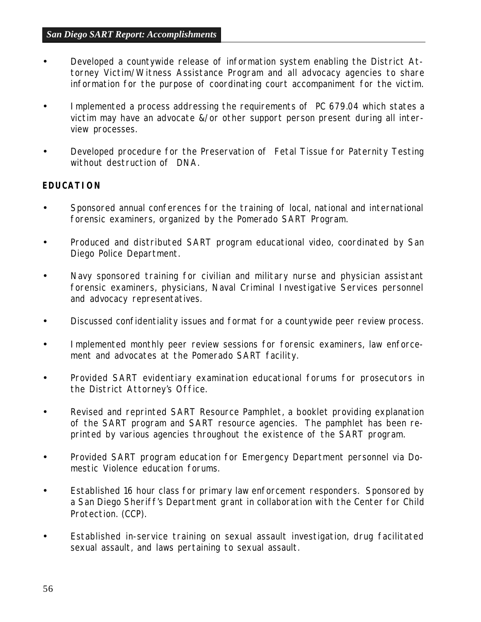- Developed a countywide release of information system enabling the District Attorney Victim/Witness Assistance Program and all advocacy agencies to share information for the purpose of coordinating court accompaniment for the victim.
- Implemented a process addressing the requirements of PC 679.04 which states a victim may have an advocate &/or other support person present during all interview processes.
- Developed procedure for the Preservation of Fetal Tissue for Paternity Testing without destruction of DNA.

#### *EDUCATION*

- Sponsored annual conferences for the training of local, national and international forensic examiners, organized by the Pomerado SART Program.
- Produced and distributed SART program educational video, coordinated by San Diego Police Department.
- Navy sponsored training for civilian and military nurse and physician assistant forensic examiners, physicians, Naval Criminal Investigative Services personnel and advocacy representatives.
- Discussed confidentiality issues and format for a countywide peer review process.
- Implemented monthly peer review sessions for forensic examiners, law enforcement and advocates at the Pomerado SART facility.
- Provided SART evidentiary examination educational forums for prosecutors in the District Attorney's Office.
- Revised and reprinted SART Resource Pamphlet, a booklet providing explanation of the SART program and SART resource agencies. The pamphlet has been reprinted by various agencies throughout the existence of the SART program.
- Provided SART program education for Emergency Department personnel via Domestic Violence education forums.
- Established 16 hour class for primary law enforcement responders. Sponsored by a San Diego Sheriff's Department grant in collaboration with the Center for Child Protection. (CCP).
- Established in-service training on sexual assault investigation, drug facilitated sexual assault, and laws pertaining to sexual assault.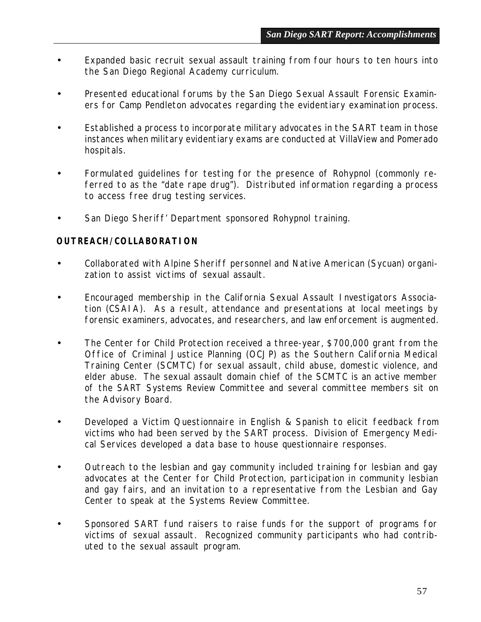- Expanded basic recruit sexual assault training from four hours to ten hours into the San Diego Regional Academy curriculum.
- Presented educational forums by the San Diego Sexual Assault Forensic Examiners for Camp Pendleton advocates regarding the evidentiary examination process.
- Established a process to incorporate military advocates in the SART team in those instances when military evidentiary exams are conducted at VillaView and Pomerado hospitals.
- Formulated guidelines for testing for the presence of Rohypnol (commonly referred to as the "date rape drug"). Distributed information regarding a process to access free drug testing services.
- San Diego Sheriff' Department sponsored Rohypnol training.

#### *OUTREACH/COLLABORATION*

- Collaborated with Alpine Sheriff personnel and Native American (Sycuan) organization to assist victims of sexual assault.
- Encouraged membership in the California Sexual Assault Investigators Association (CSAIA). As a result, attendance and presentations at local meetings by forensic examiners, advocates, and researchers, and law enforcement is augmented.
- The Center for Child Protection received a three-year, \$700,000 grant from the Office of Criminal Justice Planning (OCJP) as the Southern California Medical Training Center (SCMTC) for sexual assault, child abuse, domestic violence, and elder abuse. The sexual assault domain chief of the SCMTC is an active member of the SART Systems Review Committee and several committee members sit on the Advisory Board.
- Developed a Victim Questionnaire in English & Spanish to elicit feedback from victims who had been served by the SART process. Division of Emergency Medical Services developed a data base to house questionnaire responses.
- Outreach to the lesbian and gay community included training for lesbian and gay advocates at the Center for Child Protection, participation in community lesbian and gay fairs, and an invitation to a representative from the Lesbian and Gay Center to speak at the Systems Review Committee.
- Sponsored SART fund raisers to raise funds for the support of programs for victims of sexual assault. Recognized community participants who had contributed to the sexual assault program.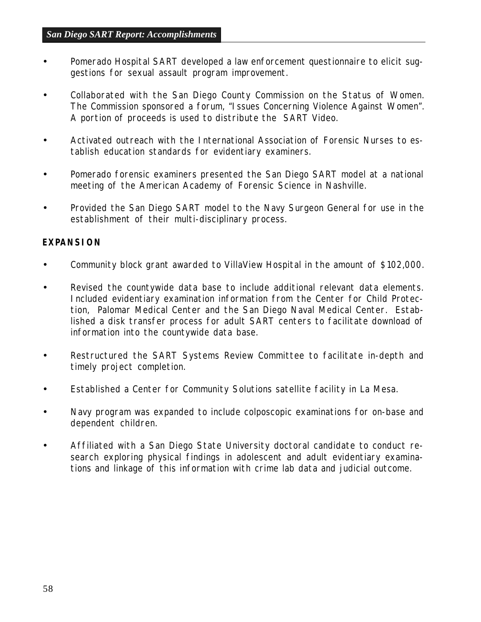- Pomerado Hospital SART developed a law enforcement questionnaire to elicit suggestions for sexual assault program improvement.
- Collaborated with the San Diego County Commission on the Status of Women. The Commission sponsored a forum, "Issues Concerning Violence Against Women". A portion of proceeds is used to distribute the SART Video.
- Activated outreach with the International Association of Forensic Nurses to establish education standards for evidentiary examiners.
- Pomerado forensic examiners presented the San Diego SART model at a national meeting of the American Academy of Forensic Science in Nashville.
- Provided the San Diego SART model to the Navy Surgeon General for use in the establishment of their multi-disciplinary process.

#### *EXPANSION*

- Community block grant awarded to VillaView Hospital in the amount of \$102,000.
- Revised the countywide data base to include additional relevant data elements. Included evidentiary examination information from the Center for Child Protection, Palomar Medical Center and the San Diego Naval Medical Center. Established a disk transfer process for adult SART centers to facilitate download of information into the countywide data base.
- Restructured the SART Systems Review Committee to facilitate in-depth and timely project completion.
- Established a Center for Community Solutions satellite facility in La Mesa.
- Navy program was expanded to include colposcopic examinations for on-base and dependent children.
- Affiliated with a San Diego State University doctoral candidate to conduct research exploring physical findings in adolescent and adult evidentiary examinations and linkage of this information with crime lab data and judicial outcome.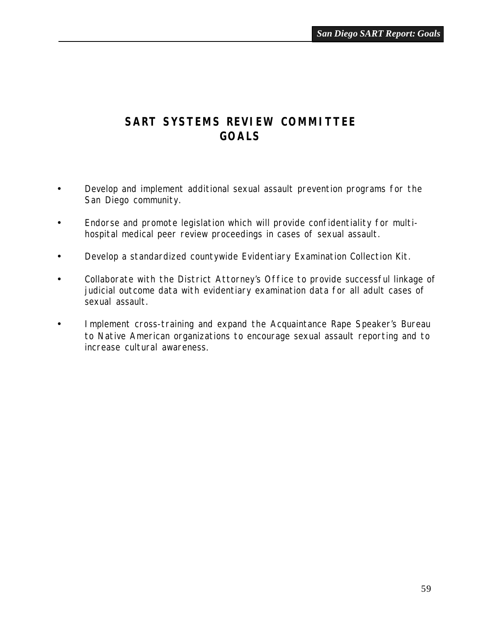## *SART SYSTEMS REVIEW COMMITTEE GOALS*

- Develop and implement additional sexual assault prevention programs for the San Diego community.
- Endorse and promote legislation which will provide confidentiality for multihospital medical peer review proceedings in cases of sexual assault.
- Develop a standardized countywide Evidentiary Examination Collection Kit.
- Collaborate with the District Attorney's Office to provide successful linkage of judicial outcome data with evidentiary examination data for all adult cases of sexual assault.
- Implement cross-training and expand the Acquaintance Rape Speaker's Bureau to Native American organizations to encourage sexual assault reporting and to increase cultural awareness.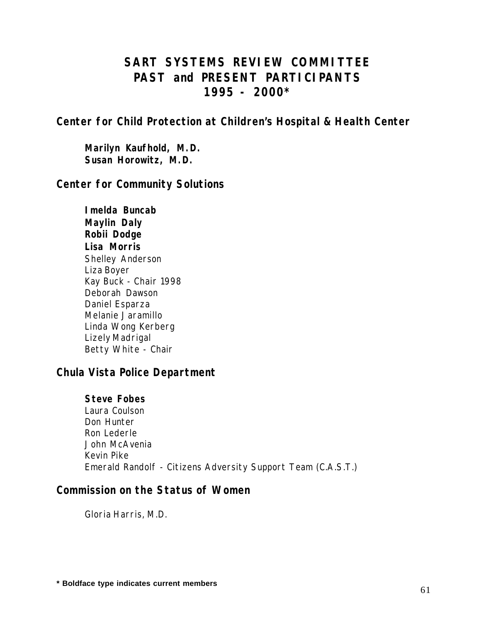## *SART SYSTEMS REVIEW COMMITTEE PAST and PRESENT PARTICIPANTS 1995 - 2000\**

*Center for Child Protection at Children's Hospital & Health Center*

**Marilyn Kaufhold, M.D. Susan Horowitz, M.D.**

#### *Center for Community Solutions*

**Imelda Buncab Maylin Daly Robii Dodge Lisa Morris** Shelley Anderson Liza Boyer Kay Buck - Chair 1998 Deborah Dawson Daniel Esparza Melanie Jaramillo Linda Wong Kerberg Lizely Madrigal Betty White - Chair

## *Chula Vista Police Department*

**Steve Fobes** Laura Coulson Don Hunter Ron Lederle John McAvenia Kevin Pike Emerald Randolf - Citizens Adversity Support Team (C.A.S.T.)

#### *Commission on the Status of Women*

Gloria Harris, M.D.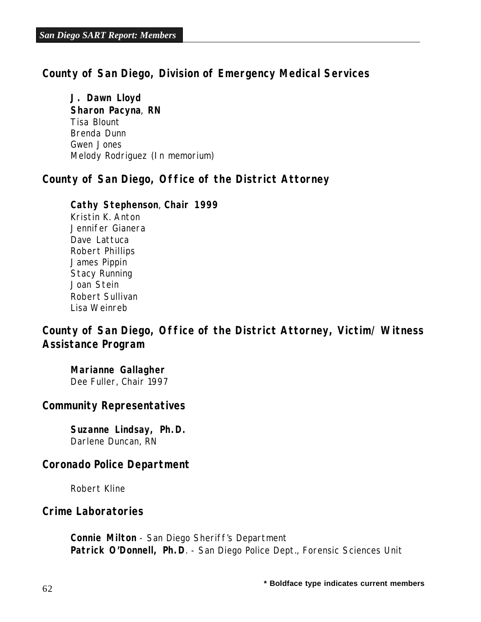#### *County of San Diego, Division of Emergency Medical Services*

**J. Dawn Lloyd Sharon Pacyna**, **RN** Tisa Blount Brenda Dunn Gwen Jones Melody Rodriguez (In memorium)

#### *County of San Diego, Office of the District Attorney*

#### **Cathy Stephenson**, **Chair 1999**

Kristin K. Anton Jennifer Gianera Dave Lattuca Robert Phillips James Pippin Stacy Running Joan Stein Robert Sullivan Lisa Weinreb

## *County of San Diego, Office of the District Attorney, Victim/ Witness Assistance Program*

**Marianne Gallagher** Dee Fuller, Chair 1997

#### *Community Representatives*

**Suzanne Lindsay, Ph.D.** Darlene Duncan, RN

#### *Coronado Police Department*

Robert Kline

#### *Crime Laboratories*

**Connie Milton** - San Diego Sheriff's Department Patrick O'Donnell, Ph.D. - San Diego Police Dept., Forensic Sciences Unit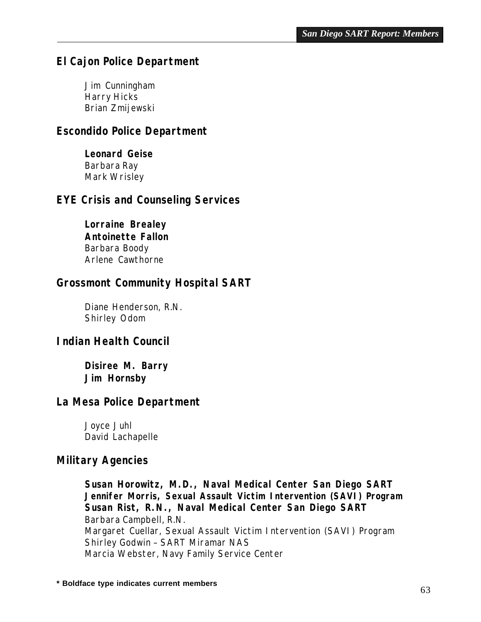## *El Cajon Police Department*

Jim Cunningham Harry Hicks Brian Zmijewski

## *Escondido Police Department*

**Leonard Geise** Barbara Ray Mark Wrisley

#### *EYE Crisis and Counseling Services*

**Lorraine Brealey Antoinette Fallon** Barbara Boody Arlene Cawthorne

#### *Grossmont Community Hospital SART*

Diane Henderson, R.N. Shirley Odom

#### *Indian Health Council*

**Disiree M. Barry Jim Hornsby**

#### *La Mesa Police Department*

Joyce Juhl David Lachapelle

#### *Military Agencies*

**Susan Horowitz, M.D., Naval Medical Center San Diego SART Jennifer Morris, Sexual Assault Victim Intervention (SAVI) Program Susan Rist, R.N., Naval Medical Center San Diego SART** Barbara Campbell, R.N. Margaret Cuellar, Sexual Assault Victim Intervention (SAVI) Program Shirley Godwin – SART Miramar NAS Marcia Webster, Navy Family Service Center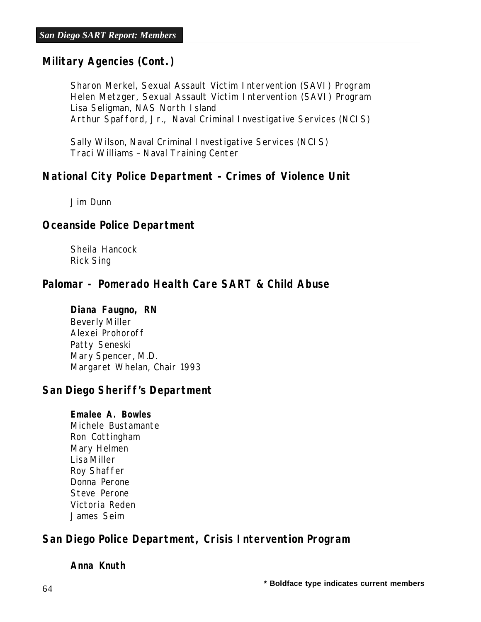## *Military Agencies (Cont.)*

Sharon Merkel, Sexual Assault Victim Intervention (SAVI) Program Helen Metzger, Sexual Assault Victim Intervention (SAVI) Program Lisa Seligman, NAS North Island Arthur Spafford, Jr., Naval Criminal Investigative Services (NCIS)

Sally Wilson, Naval Criminal Investigative Services (NCIS) Traci Williams – Naval Training Center

#### *National City Police Department – Crimes of Violence Unit*

Jim Dunn

#### *Oceanside Police Department*

Sheila Hancock Rick Sing

#### *Palomar - Pomerado Health Care SART & Child Abuse*

#### **Diana Faugno, RN**

Beverly Miller Alexei Prohoroff Patty Seneski Mary Spencer, M.D. Margaret Whelan, Chair 1993

#### *San Diego Sheriff's Department*

#### **Emalee A. Bowles**

Michele Bustamante Ron Cottingham Mary Helmen Lisa Miller Roy Shaffer Donna Perone Steve Perone Victoria Reden James Seim

## *San Diego Police Department, Crisis Intervention Program*

**Anna Knuth**